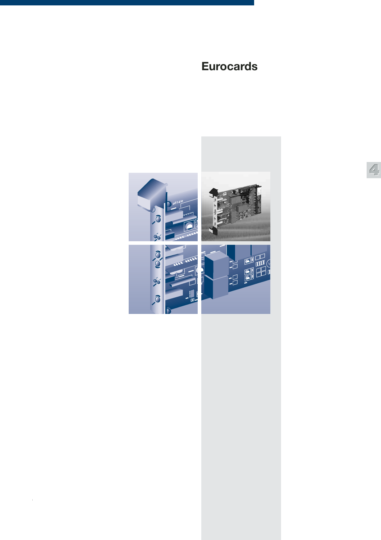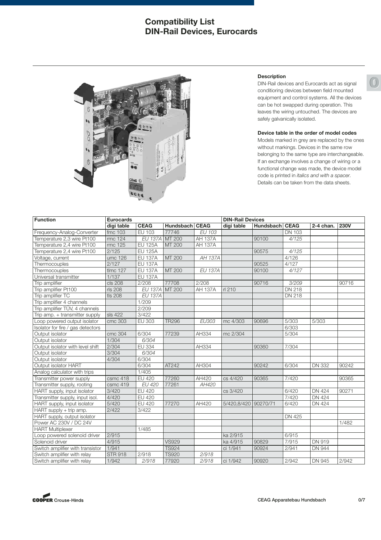## **Compatibility List DIN-Rail Devices, Eurocards**



#### **Description**

DIN-Rail devices and Eurocards act as signal conditioring devices between field mounted equipment and control systems. All the devices can be hot swapped during operation. This leaves the wiring untouched. The devices are safely galvanically isolated.

#### **Device table in the order of model codes**

Models marked in grey are replaced by the ones without markings. Devices in the same row belonging to the same type are interchangeable. If an exchange involves a change of wiring or a functional change was made, the device model code is printed in *italics and with a spacer.* Details can be taken from the data sheets.

| <b>Function</b>                   | <b>Eurocards</b> |                |                |                | <b>DIN-Rail Devices</b> |                |               |               |             |
|-----------------------------------|------------------|----------------|----------------|----------------|-------------------------|----------------|---------------|---------------|-------------|
|                                   | digi table       | <b>CEAG</b>    | Hundsbach CEAG |                | digi table              | Hundsbach CEAG |               | 2-4 chan.     | <b>230V</b> |
| Frequency-Analog-Converter        | fmc 103          | <b>EU 103</b>  | 77746          | <b>EU 103</b>  |                         |                | <b>DN 103</b> |               |             |
| Temperature 2,3 wire Pt100        | rmc 124          | EU 137A MT 200 |                | <b>AH 137A</b> |                         | 90100          | 4/125         |               |             |
| Temperature 2,4 wire Pt100        | rmc 125          | <b>EU 125A</b> | MT 200         | <b>AH 137A</b> |                         |                |               |               |             |
| Temperature 2,4 wire Pt100        | 2/125            | <b>EU 125A</b> |                |                |                         | 90575          | 4/125         |               |             |
| Voltage, current                  | umc 126          | <b>EU 137A</b> | MT 200         | AH 137A        |                         |                | 4/126         |               |             |
| Thermocouples                     | 2/127            | <b>EU 137A</b> |                |                |                         | 90525          | 4/127         |               |             |
| Thermocouples                     | tlmc 127         | <b>EU 137A</b> | MT 200         | <b>EU 137A</b> |                         | 90100          | 4/127         |               |             |
| Universal transmitter             | 1/137            | <b>EU 137A</b> |                |                |                         |                |               |               |             |
| Trip amplifier                    | cls 208          | 2/208          | 77708          | 2/208          |                         | 90716          | 3/209         |               | 90716       |
| Trip amplifier Pt100              | rls 208          | EU 137A MT 200 |                | <b>AH 137A</b> | rl 210                  |                | <b>DN 218</b> |               |             |
| Trip amplifier TC                 | tls 208          | <b>EU 137A</b> |                |                |                         |                | <b>DN 218</b> |               |             |
| Trip amplifier 4 channels         |                  | 1/209          |                |                |                         |                |               |               |             |
| Trip amplifier TÜV, 4 channels    |                  | 2/209          |                |                |                         |                |               |               |             |
| Trip amp. + transmitter supply    | sls 422          | 3/422          |                |                |                         |                |               |               |             |
| Loop powered output isolator      | cmc 303          | EU 303         | <b>TR296</b>   | EU303          | mc 4/303                | 90696          | 5/303         | 5/303         |             |
| Isolator for fire / gas detectors |                  |                |                |                |                         |                | 6/303         |               |             |
| Output isolator                   | cmc 304          | 6/304          | 77239          | AH334          | mc 2/304                |                | 5/304         |               |             |
| Output isolator                   | 1/304            | 6/304          |                |                |                         |                |               |               |             |
| Output isolator with level shift  | 2/304            | EU 334         |                | AH334          |                         | 90360          | 7/304         |               |             |
| Output isolator                   | 3/304            | 6/304          |                |                |                         |                |               |               |             |
| Output isolator                   | 4/304            | 6/304          |                |                |                         |                |               |               |             |
| Output isolator HART              |                  | 6/304          | AT242          | AH304          |                         | 90242          | 6/304         | <b>DN 332</b> | 90242       |
| Analog calculator with trips      |                  | 1/405          |                |                |                         |                |               |               |             |
| Transmitter power supply          | csmc 418         | <b>EU 420</b>  | 77260          | AH420          | cs 4/420                | 90365          | 7/420         |               | 90365       |
| Transmitter supply, rooting       | csmc 419         | EU 420         | 77261          | AH420          |                         |                |               |               |             |
| HART supply, input isolator       | 3/420            | <b>EU 420</b>  |                |                | cs 3/420                |                | 6/420         | <b>DN 424</b> | 90271       |
| Transmitter supply, input isol.   | 4/420            | <b>EU 420</b>  |                |                |                         |                | 7/420         | <b>DN 424</b> |             |
| HART supply, input isolator       | 5/420            | <b>EU 420</b>  | 77270          | AH420          | 5/420,8/420 90270/71    |                | 6/420         | <b>DN 424</b> |             |
| HART supply + trip amp.           | 2/422            | 3/422          |                |                |                         |                |               |               |             |
| HART supply, output isolator      |                  |                |                |                |                         |                | DN 425        |               |             |
| Power AC 230V / DC 24V            |                  |                |                |                |                         |                |               |               | 1/482       |
| <b>HART Multiplexer</b>           |                  | 1/485          |                |                |                         |                |               |               |             |
| Loop powered solenoid driver      | 2/915            |                |                |                | ka 2/915                |                | 6/915         |               |             |
| Solenoid driver                   | 4/915            |                | <b>VS929</b>   |                | ka 4/915                | 90829          | 7/915         | DN 919        |             |
| Switch amplifier with transistor  | 1/941            |                | <b>TS924</b>   |                | ci 1/941                | 90924          | 2/941         | <b>DN 944</b> |             |
| Switch amplifier with relay       | <b>STR 918</b>   | 2/918          | <b>TS920</b>   | 2/918          |                         |                |               |               |             |
| Switch amplifier with relay       | 1/942            | 2/918          | 77920          | 2/918          | ci 1/942                | 90920          | 2/942         | DN 945        | 2/942       |

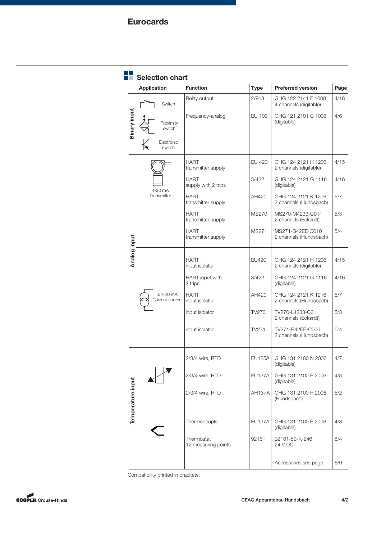| <b>Type</b><br><b>Preferred version</b><br><b>Application</b><br><b>Function</b><br>2/918<br>GHG 122 2141 E 1009<br>Relay output<br>Switch<br>4 channels (digitable)<br>Binary input<br>Frequency-analog<br>EU 103<br>GHG 121 2101 C 1006<br>(digitable)<br>Proximity<br>switch<br>Electronic<br>switch<br><b>EU 420</b><br><b>HART</b><br>GHG 124 2121 H 1206<br>transmitter supply<br>2 channels (digitable)<br><b>HART</b><br>3/422<br>GHG 124 2121 G 1116<br>supply with 2 trips<br>(digitable)<br>4-20 mA<br>Transmitter<br><b>HART</b><br>AH420<br>GHG 124 2121 K 1206<br>transmitter supply<br>2 channels (Hundsbach)<br><b>HART</b><br><b>MS270</b><br>MS270-M4233-C011<br>transmitter supply<br>2 channels (Eckardt)<br>MS271-B42EE-C010<br><b>HART</b><br>MS271<br>Analog input<br>transmitter supply<br>2 channels (Hundsbach)<br><b>HART</b><br><b>EU420</b><br>GHG 124 2121 H 1206<br>input isolator<br>2 channels (digitable)<br>HART input with<br>3/422<br>GHG 124 2121 G 1116<br>2 trips<br>(digitable)<br>$0/4 - 20$ mA<br><b>HART</b><br>AH420<br>GHG 124 2121 K 1216<br>Current source<br>input isolator<br>2 channels (Hundsbach)<br>input isolator<br>TV270<br>TV270-L4233-C011<br>2 channels (Eckardt)<br>input isolator<br>TV271<br>TV271-B42EE-C000<br>2 channels (Hundsbach)<br>2/3/4 wire, RTD<br><b>EU125A</b><br>GHG 131 2100 N 2006<br>(digitable)<br>2/3/4 wire, RTD<br><b>EU137A</b><br>GHG 131 2100 P 2006<br>Temperature input<br>(digitable)<br>2/3/4 wire, RTD<br><b>AH137A</b><br>GHG 131 2100 R 2006<br>(Hundsbach)<br>Thermocouple<br><b>EU137A</b><br>GHG 131 2100 P 2006<br>(digitable)<br>Thermostat<br>92161-50-K-246<br>92161 | <b>Selection chart</b> |                     |         |      |
|---------------------------------------------------------------------------------------------------------------------------------------------------------------------------------------------------------------------------------------------------------------------------------------------------------------------------------------------------------------------------------------------------------------------------------------------------------------------------------------------------------------------------------------------------------------------------------------------------------------------------------------------------------------------------------------------------------------------------------------------------------------------------------------------------------------------------------------------------------------------------------------------------------------------------------------------------------------------------------------------------------------------------------------------------------------------------------------------------------------------------------------------------------------------------------------------------------------------------------------------------------------------------------------------------------------------------------------------------------------------------------------------------------------------------------------------------------------------------------------------------------------------------------------------------------------------------------------------------------------------------------------------------------------------------|------------------------|---------------------|---------|------|
|                                                                                                                                                                                                                                                                                                                                                                                                                                                                                                                                                                                                                                                                                                                                                                                                                                                                                                                                                                                                                                                                                                                                                                                                                                                                                                                                                                                                                                                                                                                                                                                                                                                                           |                        |                     |         | Page |
|                                                                                                                                                                                                                                                                                                                                                                                                                                                                                                                                                                                                                                                                                                                                                                                                                                                                                                                                                                                                                                                                                                                                                                                                                                                                                                                                                                                                                                                                                                                                                                                                                                                                           |                        |                     |         | 4/18 |
|                                                                                                                                                                                                                                                                                                                                                                                                                                                                                                                                                                                                                                                                                                                                                                                                                                                                                                                                                                                                                                                                                                                                                                                                                                                                                                                                                                                                                                                                                                                                                                                                                                                                           |                        |                     |         | 4/6  |
|                                                                                                                                                                                                                                                                                                                                                                                                                                                                                                                                                                                                                                                                                                                                                                                                                                                                                                                                                                                                                                                                                                                                                                                                                                                                                                                                                                                                                                                                                                                                                                                                                                                                           |                        |                     |         | 4/15 |
|                                                                                                                                                                                                                                                                                                                                                                                                                                                                                                                                                                                                                                                                                                                                                                                                                                                                                                                                                                                                                                                                                                                                                                                                                                                                                                                                                                                                                                                                                                                                                                                                                                                                           |                        |                     |         | 4/16 |
|                                                                                                                                                                                                                                                                                                                                                                                                                                                                                                                                                                                                                                                                                                                                                                                                                                                                                                                                                                                                                                                                                                                                                                                                                                                                                                                                                                                                                                                                                                                                                                                                                                                                           |                        |                     |         | 5/7  |
|                                                                                                                                                                                                                                                                                                                                                                                                                                                                                                                                                                                                                                                                                                                                                                                                                                                                                                                                                                                                                                                                                                                                                                                                                                                                                                                                                                                                                                                                                                                                                                                                                                                                           |                        |                     |         | 5/3  |
|                                                                                                                                                                                                                                                                                                                                                                                                                                                                                                                                                                                                                                                                                                                                                                                                                                                                                                                                                                                                                                                                                                                                                                                                                                                                                                                                                                                                                                                                                                                                                                                                                                                                           |                        |                     |         | 5/4  |
|                                                                                                                                                                                                                                                                                                                                                                                                                                                                                                                                                                                                                                                                                                                                                                                                                                                                                                                                                                                                                                                                                                                                                                                                                                                                                                                                                                                                                                                                                                                                                                                                                                                                           |                        |                     |         | 4/15 |
|                                                                                                                                                                                                                                                                                                                                                                                                                                                                                                                                                                                                                                                                                                                                                                                                                                                                                                                                                                                                                                                                                                                                                                                                                                                                                                                                                                                                                                                                                                                                                                                                                                                                           |                        |                     |         | 4/16 |
|                                                                                                                                                                                                                                                                                                                                                                                                                                                                                                                                                                                                                                                                                                                                                                                                                                                                                                                                                                                                                                                                                                                                                                                                                                                                                                                                                                                                                                                                                                                                                                                                                                                                           |                        |                     |         | 5/7  |
|                                                                                                                                                                                                                                                                                                                                                                                                                                                                                                                                                                                                                                                                                                                                                                                                                                                                                                                                                                                                                                                                                                                                                                                                                                                                                                                                                                                                                                                                                                                                                                                                                                                                           |                        |                     |         | 5/3  |
|                                                                                                                                                                                                                                                                                                                                                                                                                                                                                                                                                                                                                                                                                                                                                                                                                                                                                                                                                                                                                                                                                                                                                                                                                                                                                                                                                                                                                                                                                                                                                                                                                                                                           |                        |                     |         | 5/4  |
|                                                                                                                                                                                                                                                                                                                                                                                                                                                                                                                                                                                                                                                                                                                                                                                                                                                                                                                                                                                                                                                                                                                                                                                                                                                                                                                                                                                                                                                                                                                                                                                                                                                                           |                        |                     |         | 4/7  |
|                                                                                                                                                                                                                                                                                                                                                                                                                                                                                                                                                                                                                                                                                                                                                                                                                                                                                                                                                                                                                                                                                                                                                                                                                                                                                                                                                                                                                                                                                                                                                                                                                                                                           |                        |                     |         | 4/8  |
|                                                                                                                                                                                                                                                                                                                                                                                                                                                                                                                                                                                                                                                                                                                                                                                                                                                                                                                                                                                                                                                                                                                                                                                                                                                                                                                                                                                                                                                                                                                                                                                                                                                                           |                        |                     |         | 5/2  |
|                                                                                                                                                                                                                                                                                                                                                                                                                                                                                                                                                                                                                                                                                                                                                                                                                                                                                                                                                                                                                                                                                                                                                                                                                                                                                                                                                                                                                                                                                                                                                                                                                                                                           |                        |                     |         | 4/8  |
|                                                                                                                                                                                                                                                                                                                                                                                                                                                                                                                                                                                                                                                                                                                                                                                                                                                                                                                                                                                                                                                                                                                                                                                                                                                                                                                                                                                                                                                                                                                                                                                                                                                                           |                        | 12 measuring points | 24 V DC | 8/4  |
| Accessories see page                                                                                                                                                                                                                                                                                                                                                                                                                                                                                                                                                                                                                                                                                                                                                                                                                                                                                                                                                                                                                                                                                                                                                                                                                                                                                                                                                                                                                                                                                                                                                                                                                                                      |                        |                     |         | 6/9  |

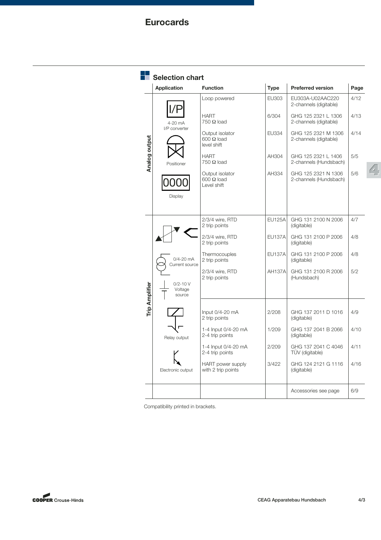|                       | <b>Selection chart</b>          |                                                     |               |                                               |      |
|-----------------------|---------------------------------|-----------------------------------------------------|---------------|-----------------------------------------------|------|
|                       | <b>Application</b>              | <b>Function</b>                                     | <b>Type</b>   | <b>Preferred version</b>                      | Page |
|                       |                                 | Loop powered                                        | EU303         | EU303A-U02AAC220<br>2-channels (digitable)    | 4/12 |
|                       | 4-20 mA                         | <b>HART</b><br>$750 \Omega$ load                    | 6/304         | GHG 125 2321 L 1306<br>2-channels (digitable) | 4/13 |
|                       | I/P converter                   | Output isolator<br>$600 \Omega$ load<br>level shift | <b>EU334</b>  | GHG 125 2321 M 1306<br>2-channels (digitable) | 4/14 |
| Analog output         | Positioner                      | <b>HART</b><br>$750 \Omega$ load                    | AH304         | GHG 125 2321 L 1406<br>2-channels (Hundsbach) | 5/5  |
|                       |                                 | Output isolator<br>$600 \Omega$ load<br>Level shift | AH334         | GHG 125 2321 N 1306<br>2-channels (Hundsbach) | 5/6  |
|                       | Display                         |                                                     |               |                                               |      |
|                       |                                 | 2/3/4 wire, RTD<br>2 trip points                    | <b>EU125A</b> | GHG 131 2100 N 2006<br>(digitable)            | 4/7  |
|                       |                                 | 2/3/4 wire, RTD<br>2 trip points                    | <b>EU137A</b> | GHG 131 2100 P 2006<br>(digitable)            | 4/8  |
|                       | $0/4 - 20$ mA<br>Current source | Thermocouples<br>2 trip points                      | <b>EU137A</b> | GHG 131 2100 P 2006<br>(digitable)            | 4/8  |
|                       | $0/2 - 10V$                     | 2/3/4 wire, RTD<br>2 trip points                    | <b>AH137A</b> | GHG 131 2100 R 2006<br>(Hundsbach)            | 5/2  |
| <b>Trip Amplifier</b> | Voltage<br>source               |                                                     |               |                                               |      |
|                       |                                 | Input $0/4 - 20$ mA<br>2 trip points                | 2/208         | GHG 137 2011 D 1016<br>(digitable)            | 4/9  |
|                       | Relay output                    | 1-4 Input 0/4-20 mA<br>2-4 trip points              | 1/209         | GHG 137 2041 B 2066<br>(digitable)            | 4/10 |
|                       |                                 | 1-4 Input 0/4-20 mA<br>2-4 trip points              | 2/209         | GHG 137 2041 C 4046<br>TÜV (digitable)        | 4/11 |
|                       | Electronic output               | <b>HART</b> power supply<br>with 2 trip points      | 3/422         | GHG 124 2121 G 1116<br>(digitable)            | 4/16 |
|                       |                                 |                                                     |               | Accessories see page                          | 6/9  |

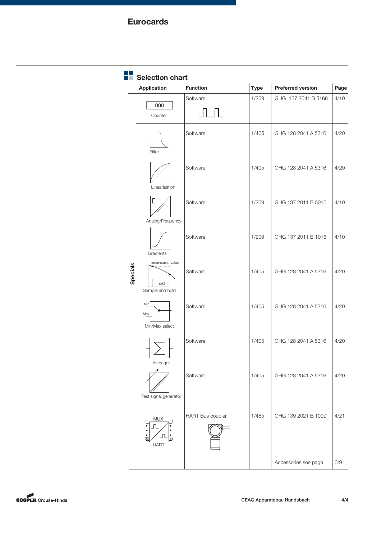|          | <b>Selection chart</b>                     |                         |             |                          |      |  |  |
|----------|--------------------------------------------|-------------------------|-------------|--------------------------|------|--|--|
|          | <b>Application</b>                         | <b>Function</b>         | <b>Type</b> | <b>Preferred version</b> | Page |  |  |
|          | 000<br>Counter                             | Software                | 1/209       | GHG 137 2041 B 5166      | 4/10 |  |  |
|          | Filter                                     | Software                | 1/405       | GHG 128 2041 A 5316      | 4/20 |  |  |
|          | Linearisation                              | Software                | 1/405       | GHG 128 2041 A 5316      | 4/20 |  |  |
|          | Ð<br>$\mathbb T$<br>Analog/Frequency       | Software                | 1/209       | GHG 137 2011 B 5016      | 4/10 |  |  |
|          | Gradients                                  | Software                | 1/209       | GHG 137 2011 B 1016      | 4/10 |  |  |
| Specials | meansured value<br>hold<br>Sample and hold | Software                | 1/405       | GHG 128 2041 A 5316      | 4/20 |  |  |
|          | Min<br>Max<br>Min/Max select               | Software                | 1/405       | GHG 128 2041 A 5316      | 4/20 |  |  |
|          | Averager                                   | Software                | 1/405       | GHG 128 2041 A 5316      | 4/20 |  |  |
|          | Test signal generator                      | Software                | 1/405       | GHG 128 2041 A 5316      | 4/20 |  |  |
|          | MUX<br>$rac{1}{32}$<br>32<br><b>HART</b>   | <b>HART Bus coupler</b> | 1/485       | GHG 139 2021 B 1009      | 4/21 |  |  |
|          |                                            |                         |             | Accessories see page     | 6/9  |  |  |

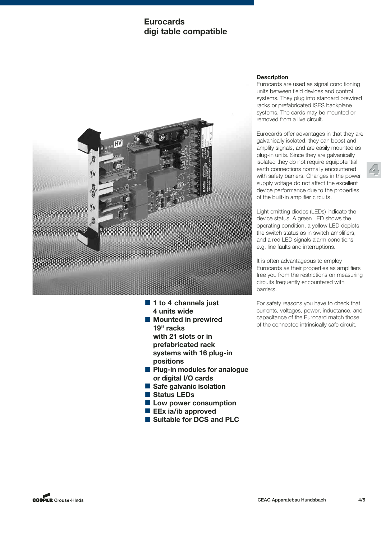## **Eurocards digi table compatible**



- 1 to 4 channels just **4 units wide**
- Mounted in prewired **19" racks with 21 slots or in prefabricated rack systems with 16 plug-in positions**
- Plug-in modules for analogue **or digital I/O cards**
- Safe galvanic isolation
- Status LEDs
- Low power consumption
- **EEx ia/ib approved**
- Suitable for DCS and PLC

## **Description**

Eurocards are used as signal conditioning units between field devices and control systems. They plug into standard prewired racks or prefabricated ISES backplane systems. The cards may be mounted or removed from a live circuit.

Eurocards offer advantages in that they are galvanically isolated, they can boost and amplify signals, and are easily mounted as plug-in units. Since they are galvanically isolated they do not require equipotential earth connections normally encountered with safety barriers. Changes in the power supply voltage do not affect the excellent device performance due to the properties of the built-in amplifier circuits.

**4**

Light emitting diodes (LEDs) indicate the device status. A green LED shows the operating condition, a yellow LED depicts the switch status as in switch amplifiers, and a red LED signals alarm conditions e.g. line faults and interruptions.

It is often advantageous to employ Eurocards as their properties as amplifiers free you from the restrictions on measuring circuits frequently encountered with barriers.

For safety reasons you have to check that currents, voltages, power, inductance, and capacitance of the Eurocard match those of the connected intrinsically safe circuit.

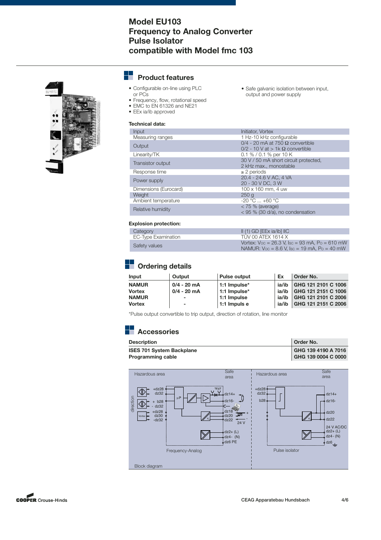## **Model EU103 Frequency to Analog Converter Pulse Isolator compatible with Model fmc 103**



#### --**Product features**

- Configurable on-line using PLC or PCs
- Safe galvanic isolation between input, output and power supply
- Frequency, flow, rotational speed • EMC to EN 61326 and NE21
- EEx ia/ib approved

## **Technical data:**

| Input                 | Initiator, Vortex                         |
|-----------------------|-------------------------------------------|
| Measuring ranges      | 1 Hz-10 kHz configurable                  |
| Output                | $0/4$ - 20 mA at 750 $\Omega$ convertible |
|                       | $0/2$ - 10 V at > 1k $\Omega$ convertible |
| Linearity/TK          | 0.1 % / 0.1 % per 10 K                    |
| Transistor output     | 30 V / 50 mA short circuit protected,     |
|                       | 2 kHz max., monostable                    |
| Response time         | $\geq$ 2 periods                          |
| Power supply          | 20.4 - 24.6 V AC, 4 VA                    |
|                       | 20 - 30 V DC, 3 W                         |
| Dimensions (Eurocard) | 100 x 160 mm, 4 uw                        |
| Weight                | 250q                                      |
| Ambient temperature   | $-20 °C  +60 °C$                          |
| Relative humidity     | $<$ 75 % (average)                        |
|                       | < 95 % (30 d/a), no condensation          |

## **Explosion protection:**

| Category            | $II(1)$ GD [EEx ia/ib] $IIC$                                                                                                                                    |
|---------------------|-----------------------------------------------------------------------------------------------------------------------------------------------------------------|
| EC-Type Examination | TUV 00 ATEX 1614 X                                                                                                                                              |
| Safety values       | Vortex: $V_{\text{OC}} = 26.3$ V, $I_{\text{SC}} = 93$ mA, $P_{\text{O}} = 610$ mW<br>NAMUR: $V_{\text{OC}} = 8.6$ V, $\text{Isc} = 19$ mA, $\text{Po} = 40$ mW |

# **Ordering details**

| Input         | Output                   | <b>Pulse output</b> | Ex    | Order No.           |
|---------------|--------------------------|---------------------|-------|---------------------|
| <b>NAMUR</b>  | $0/4 - 20$ mA            | 1:1 Impulse*        | ia/ib | GHG 121 2101 C 1006 |
| <b>Vortex</b> | $0/4 - 20$ mA            | 1:1 Impulse*        | ia/ib | GHG 121 2151 C 1006 |
| <b>NAMUR</b>  | $\overline{\phantom{0}}$ | 1:1 Impulse         | ia/ib | GHG 121 2101 C 2006 |
| <b>Vortex</b> | $\blacksquare$           | 1:1 Impuls e        | ia/ib | GHG 121 2151 C 2006 |

\*Pulse output convertible to trip output, direction of rotation, line monitor

| <b>Description</b>               | Order No.           |
|----------------------------------|---------------------|
| <b>ISES 701 System Backplane</b> | GHG 139 4190 A 7016 |
| <b>Programming cable</b>         | GHG 139 0004 C 0000 |



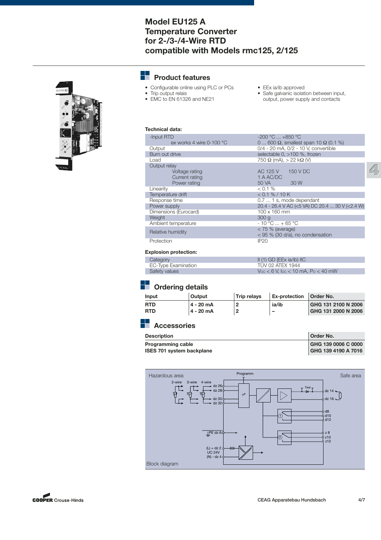## **Model EU125 A Temperature Converter for 2-/3-/4-Wire RTD compatible with Models rmc125, 2/125**



#### ÷. **Product features**

- Configurable online using PLC or PCs
- Trip output relais
- EMC to EN 61326 and NE21
- EEx ia/ib approved
- Safe galvanic isolation between input, output, power supply and contacts

## **Technical data:**

| -Input RTD                 | $-200 °C  +850 °C$                                  |
|----------------------------|-----------------------------------------------------|
| ex works 4 wire $0-100$ °C | 0  600 $\Omega$ , smallest span 10 $\Omega$ (0.1 %) |
| Output                     | 0/4 - 20 mA, 0/2 - 10 V, convertible                |
| Burn out drive             | selectable 0, >100 %, frozen                        |
| Load                       | $750 \Omega$ (mA), $> 22$ k $\Omega$ (V)            |
| Output relay               |                                                     |
| Voltage rating             | AC 125 V 150 V DC                                   |
| Current rating             | 1 A AC/DC                                           |
| Power rating               | 50 VA<br>30 W                                       |
| Linearity                  | $< 0.1 \%$                                          |
| Temperature drift          | $< 0.1 \% / 10 K$                                   |
| Response time              | 0.7  1 s, mode dependant                            |
| Power supply               | 20.4 - 26.4 V AC (<5 VA) DC 20.4  30 V (<2.4 W)     |
| Dimensions (Eurocard)      | $100 \times 160$ mm                                 |
| Weight                     | 300q                                                |
| Ambient temperature        | $-10 °C  + 65 °C$                                   |
| Relative humidity          | $< 75 %$ (average)                                  |
|                            | < 95 % (30 d/a), no condensation                    |
| Protection                 | IP20                                                |
|                            |                                                     |

#### **Explosion protection:**

| Category            | $\parallel$ (1) GD [EEx ia/ib) IIC                |
|---------------------|---------------------------------------------------|
| EC-Type Examination | TUV 02 ATEX 1944                                  |
| Safety values       | $V_{\rm OC}$ $<$ 6 V, loc $<$ 10 mA, Po $<$ 40 mW |

## **D** Ordering details

| Input      | Output    | <b>Trip relavs</b>      | <b>Ex-protection</b> | Order No.           |
|------------|-----------|-------------------------|----------------------|---------------------|
| <b>RTD</b> | 4 - 20 mA | -2                      | ia/ib                | GHG 131 2100 N 2006 |
| <b>RTD</b> | 4 - 20 mA | $\overline{\mathbf{c}}$ | -                    | GHG 131 2000 N 2006 |

| <b>Description</b>               | Order No.           |
|----------------------------------|---------------------|
| <b>Programming cable</b>         | GHG 139 0006 C 0000 |
| <b>ISES 701 system backplane</b> | GHG 139 4190 A 7016 |



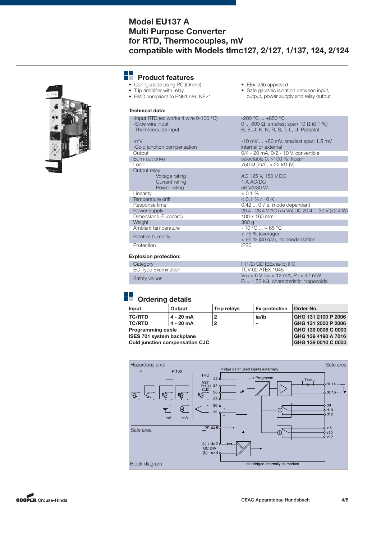## **Model EU137 A Multi Purpose Converter for RTD, Thermocouples, mV compatible with Models tlmc127, 2/127, 1/137, 124, 2/124**



| <b>Product features</b> |
|-------------------------|
|                         |

**Technical data:**

- Configurable using PC (Online)
	-
- Trip amplifier with relay • EMC compliant to EN61326, NE21
- EEx ia/ib approved
- Safe galvanic isolation between input, output, power supply and relay output

| -Input RTD (ex works 4 wire 0-100 °C)<br>-Slide wire input<br>-Thermocouple input | $-200 °C$ $+850 °C$<br>0  600 $\Omega$ , smallest span 10 $\Omega$ (0.1 %)<br>B, E, J, K, N, R, S, T, L, U, Pallaplat |
|-----------------------------------------------------------------------------------|-----------------------------------------------------------------------------------------------------------------------|
| $-mV$                                                                             | $-10$ mV $\ldots$ $+80$ mV, smallest span 1.5 mV                                                                      |
| -Cold junction compensation                                                       | internal or external                                                                                                  |
| Output                                                                            | 0/4 - 20 mA, 0/2 - 10 V, convertible                                                                                  |
| Burn-out drive                                                                    | selectable 0, >100 %, frozen                                                                                          |
| Load                                                                              | $750 \Omega$ (mA), $> 22$ k $\Omega$ (V)                                                                              |
| Output relay<br>Voltage rating<br>Current rating<br>Power rating                  | AC 125 V, 150 V DC<br>1 A AC/DC<br>50 VA/30 W                                                                         |
| Linearity                                                                         | $< 0.1 \%$                                                                                                            |
| Temperature drift                                                                 | < 0.1 % / 10 K                                                                                                        |
| Response time                                                                     | $0.420.7$ s, mode dependant                                                                                           |
| Power supply                                                                      | 20.4 - 26.4 V AC (<5 VA) DC 20.4  30 V (<2.4 W)                                                                       |
| Dimensions (Eurocard)                                                             | 100 x 160 mm                                                                                                          |
| Weight                                                                            | 300q                                                                                                                  |
| Ambient temperature                                                               | $-10 °C  + 65 °C$                                                                                                     |
| Relative humidity                                                                 | $<$ 75 % (average)<br>$<$ 95 % (30 d/a), no condensation                                                              |
| Protection                                                                        | <b>IP20</b>                                                                                                           |

#### **Explosion protection:**

| Category            | $\parallel$ (1/2) GD [EEx ia/ib] $\parallel$ C                                                             |
|---------------------|------------------------------------------------------------------------------------------------------------|
| EC-Type Examination | TUV 02 ATEX 1945                                                                                           |
| Safety values       | $V_{\rm OC}$ < 6 V, $I_{\rm OC}$ < 12 mA, Po < 47 mW<br>$R_i = 1.56 k\Omega$ , characteristic: trapezoidal |

# **D** Ordering details

| Input                                 | Output      | <b>Trip relays</b> | <b>Ex-protection</b> | Order No.           |
|---------------------------------------|-------------|--------------------|----------------------|---------------------|
| <b>TC/RTD</b>                         | $4 - 20$ mA | 2                  | ia/ib                | GHG 131 2100 P 2006 |
| <b>TC/RTD</b>                         | $4 - 20$ mA | $\overline{2}$     |                      | GHG 131 2000 P 2006 |
| <b>Programming cable</b>              |             |                    | GHG 139 0006 C 0000  |                     |
| <b>ISES 701 system backplane</b>      |             |                    | GHG 139 4190 A 7016  |                     |
| <b>Cold junction compensation CJC</b> |             |                    | GHG 139 0010 C 0000  |                     |



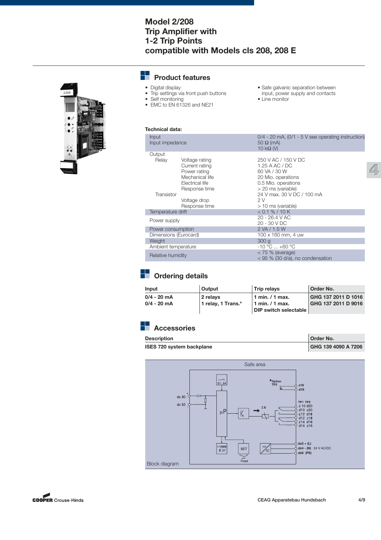## **Model 2/208 Trip Amplifier with 1-2 Trip Points compatible with Models cls 208, 208 E**



#### - 1 **Product features**

- Digital display
- Trip settings via front push buttons
- Self monitoring
- EMC to EN 61326 and NE21
- Safe galvanic separation between input, power supply and contacts • Line monitor

## **Technical data:**

| Input<br>Input impedance |                                                                                                         | $0/4 - 20$ mA, $(0/1 - 5)$ see operating instruction)<br>$50 \Omega$ (mA)<br>$10 k\Omega$ (V)                            |
|--------------------------|---------------------------------------------------------------------------------------------------------|--------------------------------------------------------------------------------------------------------------------------|
| Output                   |                                                                                                         |                                                                                                                          |
| Relay                    | Voltage rating<br>Current rating<br>Power rating<br>Mechanical life<br>Electrical life<br>Response time | 250 V AC / 150 V DC<br>1.25 A AC / DC<br>60 VA / 30 W<br>20 Mio. operations<br>0.5 Mio. operations<br>> 20 ms (variable) |
| Transistor               |                                                                                                         | 24 V max, 30 V DC / 100 mA                                                                                               |
|                          | Voltage drop                                                                                            | 2V                                                                                                                       |
|                          | Response time                                                                                           | $>$ 10 ms (variable)                                                                                                     |
| Temperature drift        |                                                                                                         | < 0.1 % / 10 K                                                                                                           |
| Power supply             |                                                                                                         | $20 - 26.4 V AC$<br>20 - 30 V DC                                                                                         |
| Power consumption        |                                                                                                         | 2 VA / 1.5 W                                                                                                             |
| Dimensions (Eurocard)    |                                                                                                         | 100 x 160 mm, 4 uw                                                                                                       |
| Weight                   |                                                                                                         | 300q                                                                                                                     |
| Ambient temperature      |                                                                                                         | $-10^{\circ}$ C $+60^{\circ}$ C                                                                                          |
| Relative humidity        |                                                                                                         | $<$ 75 % (average)<br>< 95 % (30 d/a), no condensation                                                                   |
|                          |                                                                                                         |                                                                                                                          |

# **Drdering details**

| Input         | Output              | <b>Trip relavs</b>                       | Order No.                                  |
|---------------|---------------------|------------------------------------------|--------------------------------------------|
| $0/4 - 20$ mA | 2 relavs            | 1 min./1 max.                            | GHG 137 2011 D 1016<br>GHG 137 2011 D 9016 |
| $0/4 - 20$ mA | 11 relay, 1 Trans.* | 1 min. / 1 max.<br>DIP switch selectable |                                            |

| <b>Description</b>               | Order No.           |
|----------------------------------|---------------------|
| <b>ISES 720 system backplane</b> | GHG 139 4090 A 7206 |



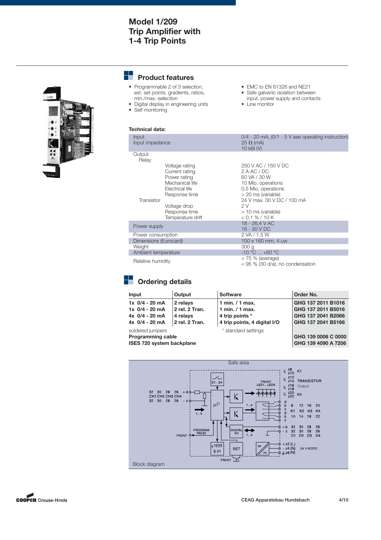## **Model 1/209 Trip Amplifier with 1-4 Trip Points**



#### --**Product features**

- Programmable 2 of 3 selection, ext. set points, gradients, ratios, min./max.-selection
- Digital display in engineering units • Self monitoring
- EMC to EN 61326 and NE21
- Safe galvanic isolation between input, power supply and contacts
- Line monitor

| Technical data:                                                                                                                                                             |                                                                                                                                                                                                       |
|-----------------------------------------------------------------------------------------------------------------------------------------------------------------------------|-------------------------------------------------------------------------------------------------------------------------------------------------------------------------------------------------------|
| Input<br>Input impedance                                                                                                                                                    | $0/4$ - 20 mA, $(0/1 - 5)$ v see operating instruction)<br>$25 \Omega$ (mA)<br>10 $k\Omega$ (V)                                                                                                       |
| Output<br>Relay                                                                                                                                                             |                                                                                                                                                                                                       |
| Voltage rating<br>Current rating<br>Power rating<br>Mechanical life<br>Electrical life<br>Response time<br>Transistor<br>Voltage drop<br>Response time<br>Temperature drift | 250 V AC / 150 V DC<br>2 A AC / DC<br>60 VA / 30 W<br>10 Mio. operations<br>0.5 Mio. operations<br>> 20 ms (variable)<br>24 V max, 30 V DC / 100 mA<br>2 V<br>> 10 ms (variable)<br>$< 0.1 \% / 10 K$ |
| Power supply                                                                                                                                                                | 18 - 26.4 V AC<br>18 - 30 V DC                                                                                                                                                                        |
| Power consumption                                                                                                                                                           | 2 VA / 1.5 W                                                                                                                                                                                          |
| Dimensions (Eurocard)                                                                                                                                                       | $100 \times 160$ mm, 4 uw                                                                                                                                                                             |
| Weight                                                                                                                                                                      | 300 <sub>g</sub>                                                                                                                                                                                      |
| Ambient temperature                                                                                                                                                         | $-10 °C$ $+60 °C$                                                                                                                                                                                     |
| Relative humidity                                                                                                                                                           | $<$ 75 % (average)<br>< 95 % (30 d/a), no condensation                                                                                                                                                |

# **Cordering details**

| Input                            | Output         | <b>Software</b>              | Order No.           |
|----------------------------------|----------------|------------------------------|---------------------|
| $1x \frac{0}{4} - 20$ mA         | 2 relavs       | 1 min. $/$ 1 max.            | GHG 137 2011 B1016  |
| $1x \frac{0}{4} - 20$ mA         | 2 rel. 2 Tran. | 1 min. $/$ 1 max.            | GHG 137 2011 B5016  |
| $4x \frac{0}{4} - 20 \text{ mA}$ | 4 relays       | 4 trip points *              | GHG 137 2041 B2066  |
| 4x 0/4 - 20 mA                   | 2 rel. 2 Tran. | 4 trip points, 4 digital I/O | GHG 137 2041 B5166  |
| soldered jumpers                 |                | * standard settings          |                     |
| <b>Programming cable</b>         |                |                              | GHG 139 0006 C 0000 |
| ISES 720 system backplane        |                |                              | GHG 139 4090 A 7206 |



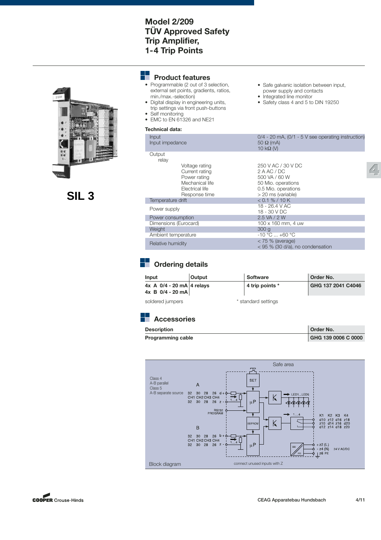## **Model 2/209 TÜV Approved Safety Trip Amplifier, 1-4 Trip Points**



 **SIL 3**

#### ÷ **Product features**

- Programmable (2 out of 3 selection, external set points, gradients, ratios, min./max.-selection)
- Digital display in engineering units, trip settings via front push-buttons • Self monitoring
- EMC to EN 61326 and NE21

## **Technical data:**

| Input<br>Input impedance                                                                                | $0/4$ - 20 mA, (0/1 - 5 V see operating instruction)<br>$50 \Omega$ (mA)<br>$10 k\Omega$ (V)                          |
|---------------------------------------------------------------------------------------------------------|-----------------------------------------------------------------------------------------------------------------------|
| Output<br>relay                                                                                         |                                                                                                                       |
| Voltage rating<br>Current rating<br>Power rating<br>Mechanical life<br>Electrical life<br>Response time | 250 V AC / 30 V DC<br>2 A AC / DC<br>500 VA / 60 W<br>50 Mio. operations<br>0.5 Mio. operations<br>> 20 ms (variable) |
| Temperature drift                                                                                       | < 0.1 % / 10 K                                                                                                        |
| Power supply                                                                                            | 18 - 26.4 V AC<br>18 - 30 V DC                                                                                        |
| Power consumption                                                                                       | 2.5 VA / 2 W                                                                                                          |
| Dimensions (Eurocard)<br>Weight                                                                         | 100 x 160 mm, 4 uw<br>300q                                                                                            |
| Ambient temperature                                                                                     | $-10 °C  +60 °C$                                                                                                      |
| Relative humidity                                                                                       | $< 75 %$ (average)<br>$<$ 95 % (30 d/a), no condensation                                                              |

• Safe galvanic isolation between input, power supply and contacts • Integrated line monitor

• Safety class 4 and 5 to DIN 19250

# **Cordering details**

| Input                                                                | <b>Output</b> | Software        | Order No.          |
|----------------------------------------------------------------------|---------------|-----------------|--------------------|
| $4x \text{ A } 0/4 - 20 \text{ mA}$ 4 relays<br>$4x$ B $0/4 - 20$ mA |               | 4 trip points * | GHG 137 2041 C4046 |
|                                                                      |               |                 |                    |

soldered jumpers  $*$  standard settings

| <b>Description</b>       | Order No.           |
|--------------------------|---------------------|
| <b>Programming cable</b> | GHG 139 0006 C 0000 |



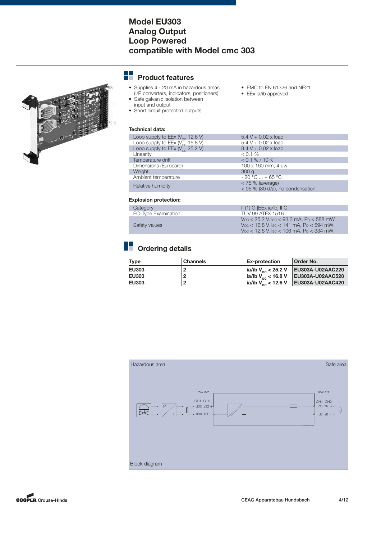## **Model EU303 Analog Output Loop Powered compatible with Model cmc 303**

# 

#### 22 **Product features**

- Supplies 4 20 mA in hazardous areas
- (I/P converters, indicators, positioners) • Safe galvanic isolation between
- input and output
- Short circuit protected outputs

## **Technical data:**

| Loop supply to $EEx$ ( $V_{\infty}$ 12.6 V) | $5.4 V + 0.02 x$ load                                  |
|---------------------------------------------|--------------------------------------------------------|
| Loop supply to $EEx$ ( $V_{\infty}$ 16.8 V) | $5.4 V + 0.02 x$ load                                  |
| Loop supply to EEx ( $V_{\infty}$ 25.2 V)   | $8.4 V + 0.02 x$ load                                  |
| Linearity                                   | $< 0.1 \%$                                             |
| Temperature drift                           | $< 0.1 \% / 10 K$                                      |
| Dimensions (Eurocard)                       | 100 x 160 mm, 4 uw                                     |
| Weight                                      | 300q                                                   |
| Ambient temperature                         | $-20 °C  + 65 °C$                                      |
| Relative humidity                           | $<$ 75 % (average)<br>< 95 % (30 d/a), no condensation |

• EMC to EN 61326 and NE21

• EEx ia/ib approved

## **Explosion protection:**

| Category            | $II(1)$ G [EEx ia/ib] $II$ C                                                                          |
|---------------------|-------------------------------------------------------------------------------------------------------|
| EC-Type Examination | TÜV 99 ATFX 1516                                                                                      |
| Safety values       | $V_{\rm OC}$ < 25.2 V. Isc < 93.3 mA, Po < 588 mW<br>$V_{\rm OC}$ < 16.8 V, Isc < 141 mA, Po < 594 mW |
|                     | $V_{\rm OC}$ < 12.6 V, Isc < 106 mA, Po < 334 mW                                                      |

# **Drdering details**

| <b>Type</b>  | <b>Channels</b> | <b>Ex-protection</b>               | Order No.        |
|--------------|-----------------|------------------------------------|------------------|
| <b>EU303</b> |                 | $ $ ia/ib V <sub>oc</sub> < 25.2 V | EU303A-U02AAC220 |
| <b>EU303</b> | 2               | $ ia/b V_{oc}$ < 16.8 V            | EU303A-U02AAC520 |
| <b>EU303</b> | $\overline{2}$  | $ $ ia/ib V <sub>oc</sub> < 12.6 V | EU303A-U02AAC420 |
|              |                 |                                    |                  |



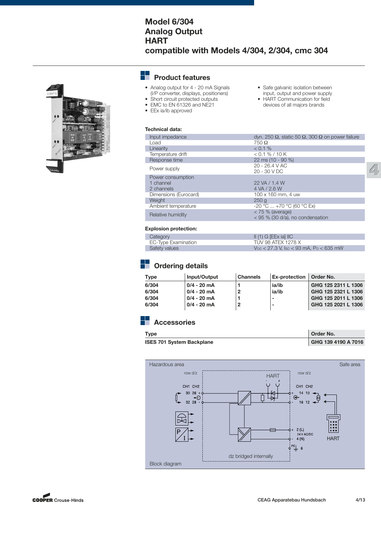## **Model 6/304 Analog Output HART compatible with Models 4/304, 2/304, cmc 304**



#### ÷. **Product features**

- Analog output for 4 20 mA Signals (I/P converter, displays, positioners)
- Short circuit protected outputs
- EEx ia/ib approved
- EMC to EN 61326 and NE21
- Safe galvanic isolation between input, output and power supply
- HART Communication for field devices of all majors brands

| Technical data:       |                                                        |
|-----------------------|--------------------------------------------------------|
| Input impedance       | dγn. 250 Ω, static 50 Ω, 300 Ω on power failure        |
| Load                  | $750 \Omega$                                           |
| Linearity             | $< 0.1 \%$                                             |
| Temperature drift     | $< 0.1 \% / 10 K$                                      |
| Response time         | 22 ms (10 - 90 %)                                      |
| Power supply          | 20 - 26.4 V AC<br>20 - 30 V DC                         |
| Power consumption     |                                                        |
| 1 channel             | 22 VA / 1.4 W                                          |
| 2 channels            | 4 VA / 2.6 W                                           |
| Dimensions (Eurocard) | $100 \times 160$ mm, 4 uw                              |
| Weight                | 250q                                                   |
| Ambient temperature   | $-20$ °C $+70$ °C (60 °C Ex)                           |
| Relative humidity     | $< 75 %$ (average)<br>< 95 % (30 d/a), no condensation |

## **Explosion protection:**

| Category            | $II(1)$ G [EEx ia] IIC                          |
|---------------------|-------------------------------------------------|
| EC-Type Examination | TUV 98 ATEX 1278 X                              |
| Safety values       | $V_{\rm OC}$ < 27.3 V, Isc < 93 mA, Po < 635 mW |

# **Cordering details**

| Type  | Input/Output  | <b>Channels</b> | Ex-protection   Order No. |                     |
|-------|---------------|-----------------|---------------------------|---------------------|
| 6/304 | $0/4 - 20$ mA |                 | ia/ib                     | GHG 125 2311 L 1306 |
| 6/304 | $0/4 - 20$ mA |                 | ia/ib                     | GHG 125 2321 L 1306 |
| 6/304 | $0/4 - 20$ mA |                 | $\overline{\phantom{0}}$  | GHG 125 2011 L 1306 |
| 6/304 | $0/4 - 20$ mA | 2               | $\overline{\phantom{0}}$  | GHG 125 2021 L 1306 |
|       |               |                 |                           |                     |

# **Accessories**

| <b>Type</b>                      | Order No.           |
|----------------------------------|---------------------|
| <b>ISES 701 System Backplane</b> | GHG 139 4190 A 7016 |



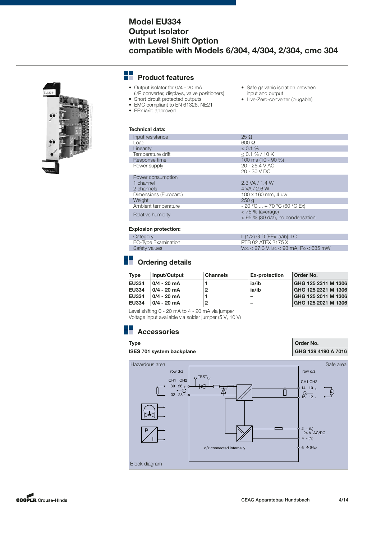## **Model EU334 Output Isolator with Level Shift Option compatible with Models 6/304, 4/304, 2/304, cmc 304**

#### ┶ **Product features**

- Output isolator for 0/4 20 mA (I/P converter, displays, valve positioners)
	- Short circuit protected outputs
- EMC compliant to EN 61326, NE21
- EEx ia/ib approved
- Safe galvanic isolation between input and output
- Live-Zero-converter (plugable)
- **Technical data:** Input resistance 25 Ω<br>I oad 600 Ω  $\text{Load}$  600  $\Omega$ Linearity  $\leq 0.1 \%$ Temperature drift<br>Response time Emperature drift<br>  $\leq 0.1\%$  / 10 K<br>
Response time  $100 \text{ ms } (10 - 90\%)$ <br>
Power supply  $20 - 26.4 \text{ V AC}$ Power supply 20 - 26.4 V AC 20 - 30 V DC Power consumption 1 channel 2.3 VA / 1.4 W<br>2.3 VA / 2.6 W<br>2 channels 2.4 VA / 2.6 W 4 VA / 2.6 W<br>100 x 160 mm, 4 uw Dimensions (Eurocard) 100 x 160 mm, 4 uww. 4 uww. 4 uww. 4 uww. 4 uww. 4 uww. 4 uww. 4 uww. 4 uww. 4 uww. 4 uww. 4 uww. 4 uww. 4 uww. 4 uww. 4 uww. 4 uww. 4 uww. 4 uww. 4 uww. 4 uww. 4 uww. 4 uww. 4 uww. 4 uww. 4 uww. 4 uw Weight Ambient temperature  $-20\degree C... + 70\degree C$  (60 °C Ex)<br>  $< 75\%$  (average) Relative humidity<br>  $\langle 75 \rangle$  (average)<br>  $\langle 95 \rangle$  (30 d/a), no condensation

#### **Explosion protection:**

| Category            | $\parallel$ (1/2) G D [EEx ia/ib] $\parallel$ C |
|---------------------|-------------------------------------------------|
| EC-Type Examination | PTB 02 ATEX 2175 X                              |
| Safety values       | $V_{\rm OC}$ < 27.3 V, Isc < 93 mA, Po < 635 mW |

# **Cordering details**

| <b>Type</b>  | Input/Output   | <b>Channels</b> | <b>Ex-protection</b>     | Order No.           |
|--------------|----------------|-----------------|--------------------------|---------------------|
| <b>EU334</b> | $0/4 - 20$ mA  |                 | ia/ib                    | GHG 125 2311 M 1306 |
| <b>EU334</b> | $0/4 - 20$ mA  | 2               | ia/ib                    | GHG 125 2321 M 1306 |
| <b>EU334</b> | $10/4 - 20$ mA |                 | $\overline{\phantom{a}}$ | GHG 125 2011 M 1306 |
| <b>EU334</b> | $10/4 - 20$ mA | 2               | -                        | GHG 125 2021 M 1306 |
|              |                |                 |                          |                     |

Level shifting 0 - 20 mA to 4 - 20 mA via jumper

Voltage input available via solder jumper (5 V, 10 V)





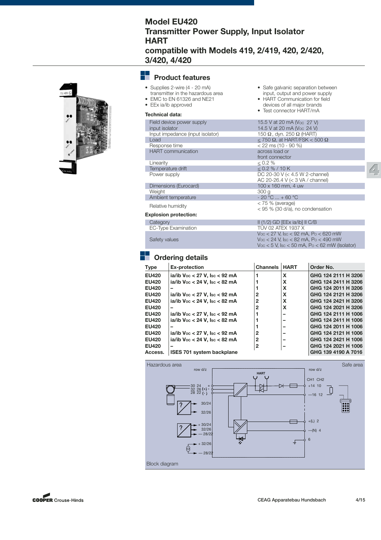## **Model EU420 Transmitter Power Supply, Input Isolator HART compatible with Models 419, 2/419, 420, 2/420, 3/420, 4/420**



#### --**Product features**

• Supplies 2-wire (4 - 20 mA) transmitter in the hazardous area • EMC to EN 61326 and NE21 • EEx ia/ib approved

## **Technical data:**

| Field device power supply<br>input isolator | 15.5 V at 20 mA (Voc 27 V)<br>14.5 V at 20 mA (Voc 24 V)             |
|---------------------------------------------|----------------------------------------------------------------------|
| Input impedance (input isolator)            | 150 $\Omega$ , dyn. 250 $\Omega$ (HART)                              |
| Load                                        | < 750 $\Omega$ , at HART/FSK < 500 $\Omega$                          |
| Response time                               | $<$ 22 ms (10 - 90 %)                                                |
| <b>HART</b> communication                   | across load or<br>front connector                                    |
| Linearity                                   | $0.2\%$                                                              |
| Temperature drift                           | < 0.2 % / 10 K                                                       |
| Power supply                                | DC 20-30 V ( $<$ 4.5 W 2-channel)<br>AC 20-26.4 V (< 3 VA / channel) |
| Dimensions (Eurocard)                       | 100 x 160 mm, 4 uw                                                   |
| Weight                                      | 300q                                                                 |
| Ambient temperature                         | $-20 °C  + 60 °C$                                                    |
| Relative humidity                           | $<$ 75 % (average)<br>$<$ 95 % (30 d/a), no condensation             |
| <b>Explosion protection:</b>                |                                                                      |
| Category                                    | $\parallel$ (1/2) GD [EEx ia/ib] $\parallel$ C/B                     |
| EC-Type Examination                         | TUV 02 ATEX 1937 X                                                   |
|                                             | $V_{\rm OC}$ < 27 V, Isc < 92 mA, Po < 620 mW                        |

• Safe galvanic separation between input, output and power supply • HART Communication for field devices of all major brands • Test connector HART/mA

 $Voc < 5$  V,  $\text{lsc} < 50$  mA,  $\text{Po} < 62$  mW (Isolator)

Safety values VOC < 24 V, ISC < 82 mA, PO < 490 mW

## **Drdering details**

| <b>Type</b>  | <b>Ex-protection</b>                                                                                                                                                                                                                                                                                           | <b>Channels</b> | <b>HART</b> | Order No.           |
|--------------|----------------------------------------------------------------------------------------------------------------------------------------------------------------------------------------------------------------------------------------------------------------------------------------------------------------|-----------------|-------------|---------------------|
| <b>EU420</b> | ia/ib $\sqrt{v}$ < 27 V, $\sqrt{v}$ sc < 92 mA                                                                                                                                                                                                                                                                 |                 | X           | GHG 124 2111 H 3206 |
| <b>EU420</b> | ia/ib $\sqrt{2}$ $\sqrt{2}$ $\sqrt{2}$ $\sqrt{2}$ $\sqrt{2}$ $\sqrt{2}$ $\sqrt{2}$ $\sqrt{2}$ $\sqrt{2}$ $\sqrt{2}$ $\sqrt{2}$ $\sqrt{2}$ $\sqrt{2}$ $\sqrt{2}$ $\sqrt{2}$ $\sqrt{2}$ $\sqrt{2}$ $\sqrt{2}$ $\sqrt{2}$ $\sqrt{2}$ $\sqrt{2}$ $\sqrt{2}$ $\sqrt{2}$ $\sqrt{2}$ $\sqrt{2}$ $\sqrt{2}$ $\sqrt{2}$ |                 | X           | GHG 124 2411 H 3206 |
| <b>EU420</b> |                                                                                                                                                                                                                                                                                                                |                 | X           | GHG 124 2011 H 3206 |
| <b>EU420</b> | ia/ib $\sqrt{v}$ < 27 V, $\sqrt{v}$ sc < 92 mA                                                                                                                                                                                                                                                                 | 2               | X           | GHG 124 2121 H 3206 |
| <b>EU420</b> | ia/ib $\sqrt{v}$ < 24 $\sqrt{v}$ , Isc < 82 mA                                                                                                                                                                                                                                                                 | 2               | X           | GHG 124 2421 H 3206 |
| <b>EU420</b> | -                                                                                                                                                                                                                                                                                                              | 2               | X           | GHG 124 2021 H 3206 |
| <b>EU420</b> | ia/ib $\sqrt{v}$ < 27 V, $\sqrt{v}$ sc < 92 mA                                                                                                                                                                                                                                                                 |                 |             | GHG 124 2111 H 1006 |
| <b>EU420</b> | ia/ib $\sqrt{2}$ $\sqrt{2}$ $\sqrt{2}$ $\sqrt{2}$ $\sqrt{2}$ $\sqrt{2}$ $\sqrt{2}$ $\sqrt{2}$ $\sqrt{2}$ $\sqrt{2}$ $\sqrt{2}$ $\sqrt{2}$ $\sqrt{2}$ $\sqrt{2}$ $\sqrt{2}$ $\sqrt{2}$ $\sqrt{2}$ $\sqrt{2}$ $\sqrt{2}$ $\sqrt{2}$ $\sqrt{2}$ $\sqrt{2}$ $\sqrt{2}$ $\sqrt{2}$ $\sqrt{2}$ $\sqrt{2}$ $\sqrt{2}$ |                 |             | GHG 124 2411 H 1006 |
| <b>EU420</b> |                                                                                                                                                                                                                                                                                                                |                 |             | GHG 124 2011 H 1006 |
| <b>EU420</b> | ia/ib $\sqrt{v}$ < 27 V, $\sqrt{v}$ sc < 92 mA                                                                                                                                                                                                                                                                 | 2               |             | GHG 124 2121 H 1006 |
| <b>EU420</b> | ia/ib $\sqrt{2}$ $\sqrt{2}$ $\sqrt{2}$ $\sqrt{2}$ $\sqrt{2}$ $\sqrt{2}$ $\sqrt{2}$ $\sqrt{2}$ $\sqrt{2}$ $\sqrt{2}$ $\sqrt{2}$ $\sqrt{2}$ $\sqrt{2}$ $\sqrt{2}$ $\sqrt{2}$ $\sqrt{2}$ $\sqrt{2}$ $\sqrt{2}$ $\sqrt{2}$ $\sqrt{2}$ $\sqrt{2}$ $\sqrt{2}$ $\sqrt{2}$ $\sqrt{2}$ $\sqrt{2}$ $\sqrt{2}$ $\sqrt{2}$ | 2               | -           | GHG 124 2421 H 1006 |
| <b>EU420</b> |                                                                                                                                                                                                                                                                                                                | 2               |             | GHG 124 2021 H 1006 |
| Access.      | <b>ISES 701 system backplane</b>                                                                                                                                                                                                                                                                               |                 |             | GHG 139 4190 A 7016 |



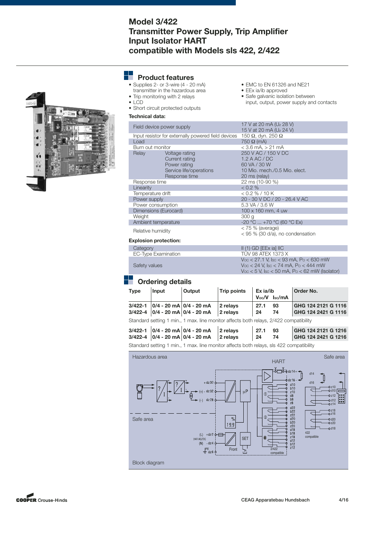## **Model 3/422 Transmitter Power Supply, Trip Amplifier Input Isolator HART compatible with Models sls 422, 2/422**

## **Product features**

- Supplies 2- or 3-wire (4 20 mA)
- $\frac{1}{x}$  transmitter in the hazardous area • Trip monitoring with 2 relays
- LCD
- Short circuit protected outputs

#### **Technical data:**

- EMC to EN 61326 and NE21
- EEx ia/ib approved
- Safe galvanic isolation between input, output, power supply and contacts

|                   | Field device power supply                           |                         | 17 V at 20 mA (Uz 28 V)<br>15 V at 20 mA (Uz 24 V)     |
|-------------------|-----------------------------------------------------|-------------------------|--------------------------------------------------------|
|                   | Input resistor for externally powered field devices |                         | 150 $\Omega$ , dyn. 250 $\Omega$                       |
|                   | Load                                                |                         | $750 \Omega$ (mA)                                      |
|                   | Burn out monitor                                    |                         | $<$ 3.6 mA, $>$ 21 mA                                  |
|                   | Relay                                               | Voltage rating          | 250 V AC / 150 V DC                                    |
|                   |                                                     | Current rating          | $1.2$ A AC / DC                                        |
|                   |                                                     | Power rating            | 60 VA / 30 W                                           |
|                   |                                                     | Service life/operations | 10 Mio. mech./0.5 Mio. elect.                          |
|                   |                                                     | Response time           | 20 ms (relay)                                          |
|                   | Response time                                       |                         | 22 ms (10-90 %)                                        |
|                   | Linearity                                           |                         | < 0.2 %                                                |
|                   | Temperature drift                                   |                         | < 0.2 % / 10 K                                         |
|                   | Power supply                                        |                         | 20 - 30 V DC / 20 - 26.4 V AC                          |
|                   | Power consumption                                   |                         | 5.3 VA / 3.6 W                                         |
|                   | Dimensions (Eurocard)                               |                         | $100 \times 160$ mm, 4 uw                              |
|                   | Weight                                              |                         | 300 <sub>g</sub>                                       |
|                   | Ambient temperature                                 |                         | $-20$ °C $+70$ °C (60 °C Ex)                           |
| Relative humidity |                                                     |                         | $<$ 75 % (average)<br>< 95 % (30 d/a), no condensation |
|                   | Evalonian protootion:                               |                         |                                                        |

#### **Explosion protection:**

| Category            | $II(1)$ GD [EEx ia] IIC                                |
|---------------------|--------------------------------------------------------|
| EC-Type Examination | TUV 98 ATFX 1373 X                                     |
|                     | $V_{\rm OC}$ < 27.1 V, Isc < 93 mA, Po < 630 mW        |
| Safety values       | $V_{\rm OC}$ < 24 V, Isc < 74 mA, Po < 444 mW          |
|                     | $V_{\rm OC}$ < 5 V, Isc < 50 mA, Po < 62 mW (Isolator) |

## **Drawing details**

| <b>Type</b> | Input | <b>Output</b>                                                              | <b>Trip points</b>    | Ex ia/ib   | $Voc/V$ $\vert$ sc/mA | Order No.                                  |
|-------------|-------|----------------------------------------------------------------------------|-----------------------|------------|-----------------------|--------------------------------------------|
|             |       | $3/422 - 1$ 0/4 - 20 mA 0/4 - 20 mA<br>$3/422 - 4$ 0/4 - 20 mA 0/4 - 20 mA | 12 relavs<br>2 relays | 27.1<br>24 | 93<br>74              | GHG 124 2121 G 1116<br>GHG 124 2421 G 1116 |
|             |       |                                                                            |                       |            |                       |                                            |

Standard setting 1 min., 1 max. line monitor affects both relays, 2/422 compatibility

| $3/422 - 1$ 0/4 - 20 mA 0/4 - 20 mA 2 relays<br>3/422-4 $ 0/4 - 20 \text{ mA} 0/4 - 20 \text{ mA}$ 2 relays 24 74 | $27.1$ 93 | GHG 124 2121 G 1216<br>GHG 124 2421 G 1216 |
|-------------------------------------------------------------------------------------------------------------------|-----------|--------------------------------------------|
|                                                                                                                   |           |                                            |

Standard setting 1 min., 1 max. line monitor affects both relays, sls 422 compatibility



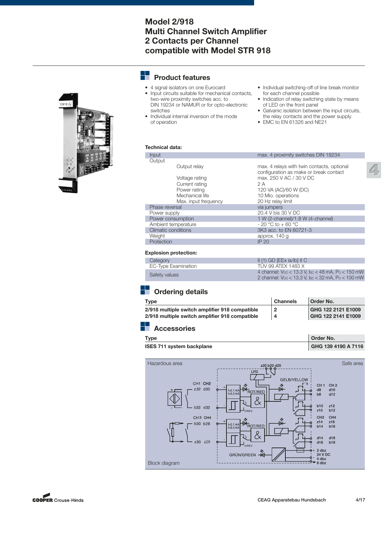## **Model 2/918 Multi Channel Switch Amplifier 2 Contacts per Channel compatible with Model STR 918**



- 4 signal isolators on one Eurocard<br>• Input circuits suitable for mechanic
- Input circuits suitable for mechanical contacts, two-wire proximity switches acc. to DIN 19234 or NAMUR or for opto-electronic switches
- Individual internal inversion of the mode of operation
- Individual switching-off of line break monitor for each channel possible
- Indication of relay switching state by means of LED on the front panel
- Galvanic isolation between the input circuits, the relay contacts and the power supply

**Order No.** 

• EMC to EN 61326 and NE21

#### **Technical data:**

| Input                | max. 4 proximity switches DIN 19234                                                  |
|----------------------|--------------------------------------------------------------------------------------|
| Output               |                                                                                      |
| Output relay         | max. 4 relays with twin contacts, optional<br>configuration as make or break contact |
| Voltage rating       | max, 250 V AC / 30 V DC                                                              |
| Current rating       | 2 A                                                                                  |
| Power rating         | 120 VA (AC)/60 W (DC)                                                                |
| Mechanical life      | 10 Mio. operations                                                                   |
| Max. input frequency | 20 Hz relay limit                                                                    |
| Phase reversal       | via jumpers                                                                          |
| Power supply         | 20.4 V bis 30 V DC                                                                   |
| Power consumption    | 1 W (2-channel)/1.8 W (4-channel)                                                    |
| Ambient temperature  | $-20 °C$ to $+60 °C$                                                                 |
| Climatic conditions  | 3K3 acc. to EN 60721-3                                                               |
| Weight               | approx. 140 g                                                                        |
| Protection           | IP 20                                                                                |
|                      |                                                                                      |

#### **Explosion protection:**

| Category            | $II(1)$ GD [EEx ia/ib] $II$ C                                                                                            |
|---------------------|--------------------------------------------------------------------------------------------------------------------------|
| EC-Type Examination | TUV 99 ATEX 1483 X                                                                                                       |
| Safety values       | 4 channel: $V_{\rm OC}$ < 13.3 V, Isc < 48 mA, Po < 150 mW<br>2 channel: $V_{\rm OC}$ < 13.3 V, Isc < 32 mA, Po < 100 mW |

# **Cordering details**

| Tvpe                                           | <b>Channels</b> | Order No.          |
|------------------------------------------------|-----------------|--------------------|
| 2/918 multiple switch amplifier 918 compatible |                 | GHG 122 2121 E1009 |
| 2/918 multiple switch amplifier 918 compatible | -4              | GHG 122 2141 E1009 |

## **Accessories**

| ٧<br>۰. |
|---------|

**ISES 711 system backplane GHG 139 4190 A 7116** 





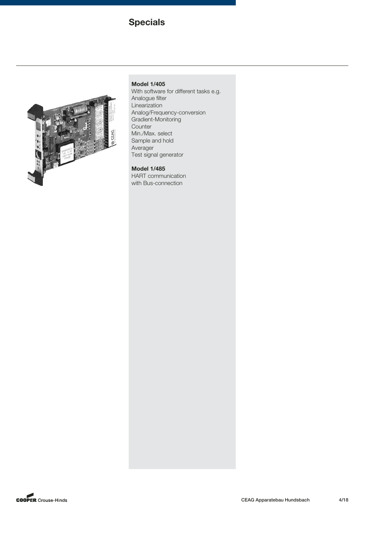# **Specials**



## **Model 1/405**

With software for different tasks e.g. Analogue filter Linearization Analog/Frequency-conversion Gradient-Monitoring **Counter** Min./Max. select Sample and hold Averager Test signal generator

## **Model 1/485**

HART communication with Bus-connection

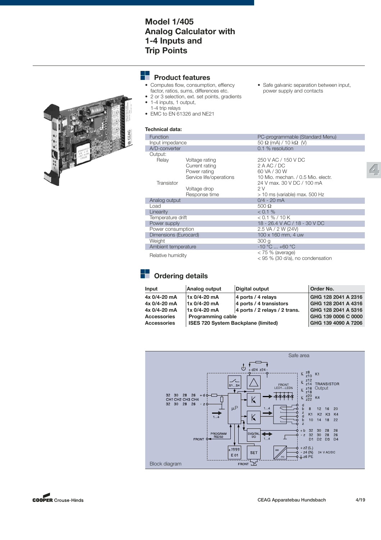## **Model 1/405 Analog Calculator with 1-4 Inputs and Trip Points**

#### ۰ **Product features**

- Computes flow, consumption, effiency factor, ratios, sums, differences etc.
- 2 or 3 selection, ext. set points, gradients • 1-4 inputs, 1 output,
	- 1-4 trip relays
- EMC to EN 61326 and NE21

#### **Technical data:**

| Function              |                         | PC-programmable (Standard Menu)                        |
|-----------------------|-------------------------|--------------------------------------------------------|
| Input impedance       |                         | $50 \Omega$ (mA) / 10 k $\Omega$ (V)                   |
| A/D-converter         |                         | 0.1 % resolution                                       |
| Output:               |                         |                                                        |
| Relay                 | Voltage rating          | 250 V AC / 150 V DC                                    |
|                       | Current rating          | 2 A AC / DC                                            |
|                       | Power rating            | 60 VA / 30 W                                           |
|                       | Service life/operations | 10 Mio. mechan. / 0.5 Mio. electr.                     |
| Transistor            |                         | 24 V max, 30 V DC / 100 mA                             |
|                       | Voltage drop            | 2 V                                                    |
|                       | Response time           | > 10 ms (variable) max. 500 Hz                         |
| Analog output         |                         | $0/4 - 20$ mA                                          |
| Load                  |                         | 500 $\Omega$                                           |
| Linearity             |                         | < 0.1 %                                                |
| Temperature drift     |                         | $< 0.1 %$ / 10 K                                       |
| Power supply          |                         | 18 - 26.4 V AC / 18 - 30 V DC                          |
| Power consumption     |                         | 2.5 VA / 2 W (24V)                                     |
| Dimensions (Eurocard) |                         | 100 x 160 mm, 4 uw                                     |
| Weight                |                         | 300 <sub>g</sub>                                       |
| Ambient temperature   |                         | $-10 °C  +60 °C$                                       |
| Relative humidity     |                         | $<$ 75 % (average)<br>< 95 % (30 d/a), no condensation |
|                       |                         |                                                        |

• Safe galvanic separation between input, power supply and contacts



# **Cordering details**

| Analog output                              |                    | Order No.                                                                  |
|--------------------------------------------|--------------------|----------------------------------------------------------------------------|
| 1x 0/4-20 mA                               | 4 ports / 4 relays | GHG 128 2041 A 2316                                                        |
| 1x 0/4-20 mA                               |                    | GHG 128 2041 A 4316                                                        |
| 1x 0/4-20 mA                               |                    | GHG 128 2041 A 5316                                                        |
| <b>Programming cable</b>                   |                    | GHG 139 0006 C 0000                                                        |
| <b>ISES 720 System Backplane (limited)</b> |                    | GHG 139 4090 A 7206                                                        |
|                                            |                    | Digital output<br>4 ports / 4 transistors<br>4 ports / 2 relays / 2 trans. |





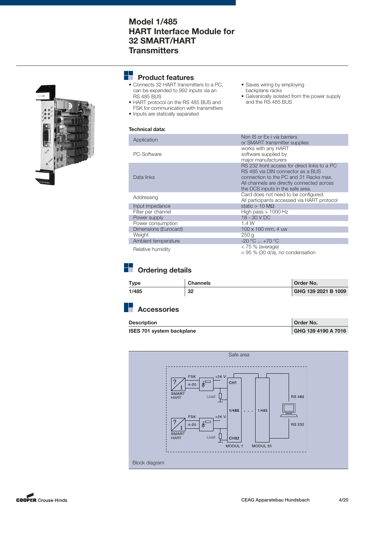## **Model 1/485 HART Interface Module for 32 SMART/HART Transmitters**



## **Product features**

- Connects 32 HART transmitters to a PC, can be expanded to 992 inputs via an RS 485 BUS
- HART protocol on the RS 485 BUS and FSK for communication with transmitters
- Inputs are statically separated

## **Technical data:**

- Non IS or Ex-i via barriers Application or SMART transmitter supplies works with any HART PC-Software supplied by major manufacturers RS 232 front access for direct links to a PC RS 485 via DIN connector as a BUS Data links **Connection to the PC and 31 Racks max.** Connection to the PC and 31 Racks max. All channels are directly connected across the DCS inputs in the safe area.<br>Card does not need to be configured. Addressing<br>
All participants accessed via HART protocol Input impedance static > 10 MΩ<br>Filter per channel static > 10 MΩ Filter per channel **High pass** > 1000 Hz Power supply 18 - 30 V DC Power consumption 1.4 W<br>Dimensions (Eurocard) 100 x 160 mm, 4 uw Dimensions (Eurocard) 100 x 160 mm, 4<br>Weight 250 g<br>Ambient temperature 250 g<br>20 °C ... +70 °C Weight Ambient temperature  $-20 \degree C ... +70 \degree C$ <br>Poloting burnidity  $< 75 \%$  (average) Relative humidity<br>
< 75 % (average)<br>
< 95 % (30 d/a), no condensation
	-

• Saves wiring by employing backplane racks

and the RS 485 BUS

• Galvanically isolated from the power supply

# **Ordering details**

| Type  | <b>Channels</b> | Order No.           |
|-------|-----------------|---------------------|
| 1/485 | 32              | GHG 139 2021 B 1009 |

| <b>Description</b>               | Order No.           |
|----------------------------------|---------------------|
| <b>ISES 701 system backplane</b> | GHG 139 4190 A 7016 |



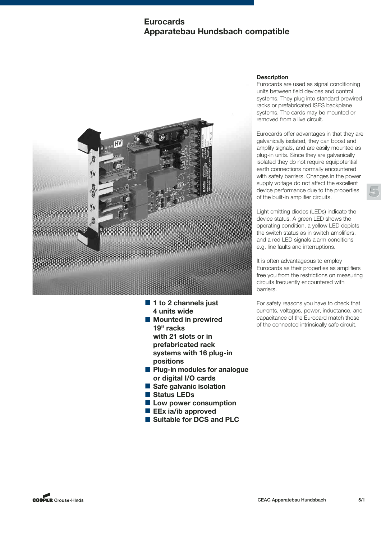## **Eurocards Apparatebau Hundsbach compatible**



- 1 to 2 channels just **4 units wide**
- Mounted in prewired **19" racks with 21 slots or in prefabricated rack systems with 16 plug-in positions**
- Plug-in modules for analogue **or digital I/O cards**
- Safe galvanic isolation
- Status LEDs
- Low power consumption
- **EEx ia/ib approved**
- Suitable for DCS and PLC

## **Description**

Eurocards are used as signal conditioning units between field devices and control systems. They plug into standard prewired racks or prefabricated ISES backplane systems. The cards may be mounted or removed from a live circuit.

Eurocards offer advantages in that they are galvanically isolated, they can boost and amplify signals, and are easily mounted as plug-in units. Since they are galvanically isolated they do not require equipotential earth connections normally encountered with safety barriers. Changes in the power supply voltage do not affect the excellent device performance due to the properties of the built-in amplifier circuits.

**5**

Light emitting diodes (LEDs) indicate the device status. A green LED shows the operating condition, a yellow LED depicts the switch status as in switch amplifiers, and a red LED signals alarm conditions e.g. line faults and interruptions.

It is often advantageous to employ Eurocards as their properties as amplifiers free you from the restrictions on measuring circuits frequently encountered with barriers.

For safety reasons you have to check that currents, voltages, power, inductance, and capacitance of the Eurocard match those of the connected intrinsically safe circuit.

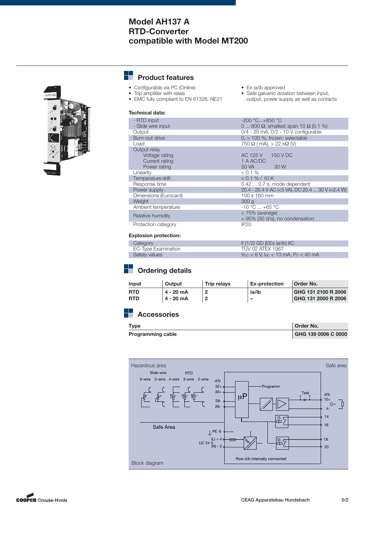## **Model AH137 A RTD-Converter compatible with Model MT200**



#### --**Product features**

- Configurable via PC (Online)
- Trip amplifier with relais
- EMC fully compliant to EN 61326, NE21
- Ex ia/ib approved
- Safe galvanic isolation between input, output, power supply as well as contacts

#### **Technical data:**

| - RTD input           | $-200 °C+850 °C$                                     |
|-----------------------|------------------------------------------------------|
| - Slide wire input    | 0  600 $\Omega$ , smallest span 10 $\Omega$ (0.1 %)  |
| Output                | $0/4 - 20$ mA, $0/2 - 10$ V configurable             |
| Burn-out drive        | $0,$ > 100 %, frozen: selectable                     |
| Load                  | $750 \Omega$ (mA), $> 22$ k $\Omega$ (V)             |
| Output relay          |                                                      |
| Voltage rating        | AC 125 V 150 V DC                                    |
| Current rating        | 1 A AC/DC                                            |
| Power rating          | 50 VA<br>30 W                                        |
| Linearity             | $< 0.1 \%$                                           |
| Temperature drift     | < 0.1 % / 10 K                                       |
| Response time         | $0.420.7$ s, mode dependant                          |
| Power supply          | 20.4 - 26.4 V AC (<5 VA), DC 20.4  30 V (<2.4 W)     |
| Dimensions (Eurocard) | 100 x 160 mm                                         |
| Weight                | 300q                                                 |
| Ambient temperature   | $-10 °C  +65 °C$                                     |
| Relative humidity     | $<$ 75% (average)<br>< 95% (30 d/a), no condensation |
| Protection category   | <b>IP20</b>                                          |

#### **Explosion protection:**

| Category            | $II(1/2)$ GD [EEx ia/ib) $IIC$              |
|---------------------|---------------------------------------------|
| EC-Type Examination | TUV 02 ATEX 1967                            |
| Safety values       | $V_{\rm OC}$ < 6 V, Isc < 10 mA, Po < 40 mA |

# **Cordering details**

| Input                    | Output                   | <b>Trip relavs</b> | <b>Ex-protection</b> | Order No.                                  |
|--------------------------|--------------------------|--------------------|----------------------|--------------------------------------------|
| <b>RTD</b><br><b>RTD</b> | 4 - 20 mA<br>$4 - 20$ mA |                    | ia/ib<br>-           | GHG 131 2100 R 2006<br>GHG 131 2000 R 2006 |
|                          |                          |                    |                      |                                            |

| Tvpe                     | <b>Order No.</b>    |
|--------------------------|---------------------|
| <b>Programming cable</b> | GHG 139 0006 C 0000 |



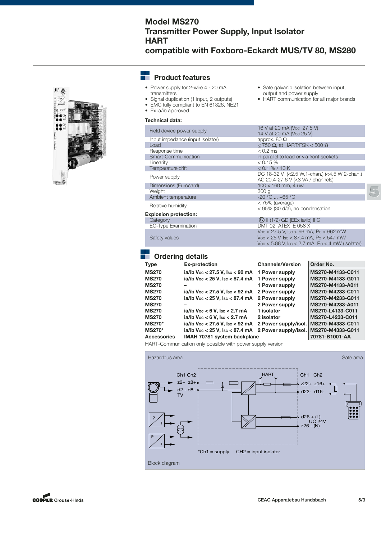# **Model MS270 Transmitter Power Supply, Input Isolator HART**

**compatible with Foxboro-Eckardt MUS/TV 80, MS280**

• Safe galvanic isolation between input, output and power supply

• HART communication for all major brands

 $V_{\text{OC}}$  < 5.88 V,  $\text{Isc}$  < 2.7 mA,  $\text{Po}$  < 4 mW (Isolator)



#### ┶ **Product features**

- Power supply for 2-wire 4 20 mA transmitters
- Signal duplication (1 input, 2 outputs)
- EMC fully compliant to EN 61326, NE21
- Ex ia/ib approved

#### **Technical data:**

16 V at 20 mA (Voc 27.5 V)<br>14 V at 20 mA (Voc 25 V)<br>14 V at 20 mA (Voc 25 V) Input impedance (input isolator) approx. 80 Ω<br>Load < 750 Ω, at H  $\le$  750 Ω, at HART/FSK < 500 Ω<br>< 0.2 ms Response time<br>Smart-Communication in parallel to load or via front sockets Linearity  $\leq 0.15\%$ <br>
Temperature drift  $\leq 0.1\%$  / 10 K Temperature drift DC 18-32 V (<2.5 W,1-chan.) (<4.5 W 2-chan.)<br>Dimensions (Eurocard) <br>Dimensions (Eurocard) 100 x 160 mm, 4 uw Dimensions (Eurocard) 100 x 160 mm, 4<br>Weight 300 g<br>Ambient temperature 20 °C ... +65 °C Weight Ambient temperature  $-20 °C ... +65 °C$ <br>
Relative bumidity Relative humidity<br>
< 95% (30 d/a), no condensation<br>
< 95% (30 d/a), no condensation **Explosion protection:** Category **II (1/2) GD [EEx ia/ib] II C**<br>
EC-Type Examination **III CONSERVER ACCESS** II (1/2) GD [EEx ia/ib] II C DMT 02 ATEX E 058 X VOC < 27.5 V, ISC < 96 mA, PO < 662 mW

## Safety values  $V_{\text{OC}} < 25$  V,  $\text{I}_{\text{SC}} < 87.4$  mA,  $\text{Po} < 547$  mW

## **Ordering details**

| <b>Ex-protection</b>                             | <b>Channels/Version</b> | Order No.                                                                                                      |
|--------------------------------------------------|-------------------------|----------------------------------------------------------------------------------------------------------------|
| ia/ib Voc < 27.5 V, Isc < 92 mA                  | 1 Power supply          | MS270-M4133-C011                                                                                               |
| ia/ib Voc < 25 V, Isc < 87.4 mA                  | 1 Power supply          | MS270-M4133-G011                                                                                               |
|                                                  | 1 Power supply          | MS270-M4133-A011                                                                                               |
| ia/ib $\sqrt{v}$ < 27.5 V, $\sqrt{v}$ sc < 92 mA | 2 Power supply          | MS270-M4233-C011                                                                                               |
| ia/ib $\sqrt{v}$ < 25 V, Isc < 87.4 mA           | 2 Power supply          | MS270-M4233-G011                                                                                               |
|                                                  | 2 Power supply          | MS270-M4233-A011                                                                                               |
| ia/ib $\sqrt{v}$ < 6 V, Isc < 2.7 mA             | 1 isolator              | MS270-L4133-C011                                                                                               |
| ia/ib $\sqrt{v}$ < 6 V. Isc < 2.7 mA             | 2 isolator              | MS270-L4233-C011                                                                                               |
| ia/ib Voc < 27.5 V, Isc < 92 mA                  |                         | MS270-M4333-C011                                                                                               |
|                                                  |                         | MS270-M4333-G011                                                                                               |
|                                                  |                         | 70781-B1001-AA                                                                                                 |
|                                                  |                         | 2 Power supply/isol.<br>ia/ib Voc < 25 V, Isc < 87.4 mA<br>2 Power supply/isol.<br>IMAH 70781 system backplane |

HART-Communication only possible with power supply version



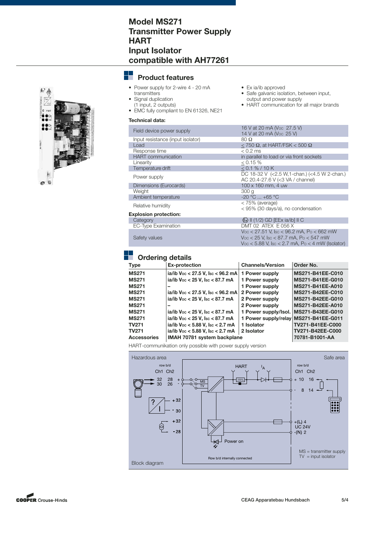## **Model MS271 Transmitter Power Supply HART Input Isolator compatible with AH77261**



## **Product features**

- Power supply for 2-wire 4 20 mA
- transmitters
- Signal duplication
- (1 input, 2 outputs) • EMC fully compliant to EN 61326, NE21

#### **Technical data:**

| Field device power supply         | 16 V at 20 mA (Voc 27.5 V)<br>14 V at 20 mA (Voc 25 V)                                                                                                             |
|-----------------------------------|--------------------------------------------------------------------------------------------------------------------------------------------------------------------|
| Input resistance (input isolator) | $80\ \Omega$                                                                                                                                                       |
| Load                              | < 750 Ω, at HART/FSK < 500 Ω                                                                                                                                       |
| Response time                     | $< 0.2$ ms                                                                                                                                                         |
| <b>HART</b> communication         | in parallel to load or via front sockets                                                                                                                           |
| Linearity                         | $0.15\%$                                                                                                                                                           |
| Temperature drift                 | < 0.1 % / 10 K                                                                                                                                                     |
| Power supply                      | DC 18-32 V $(<2.5 W, 1$ -chan.) $(<4.5 W 2$ -chan.)<br>AC 20.4-27.6 V (< 3 VA / channel)                                                                           |
| Dimensions (Eurocards)            | 100 x 160 mm, 4 uw                                                                                                                                                 |
| Weight                            | 300 <sub>g</sub>                                                                                                                                                   |
| Ambient temperature               | $-20 °C  +65 °C$                                                                                                                                                   |
| Relative humidity                 | $<$ 75% (average)<br>< 95% (30 days/a), no condensation                                                                                                            |
| <b>Explosion protection:</b>      |                                                                                                                                                                    |
| Category                          | $\langle x \rangle$ II (1/2) GD [EEx ia/ib] II C                                                                                                                   |
| EC-Type Examination               | DMT 02 ATEX $E$ 056 X                                                                                                                                              |
| Safety values                     | $V_{\rm OC}$ < 27.51 V, Isc < 96.2 mA, Po < 662 mW<br>$V_{\rm OC}$ < 25 V, Isc < 87.7 mA, Po < 547 mW<br>$V_{\rm OC}$ < 5.88 V, Isc < 2.7 mA, Po < 4 mW (Isolator) |

• Ex ia/ib approved<br>• Safe galvanic isola

output and power supply

Safe galvanic isolation, between input,

• HART communication for all major brands

## **Drdering details**

| Type               | <b>Ex-protection</b>                            | <b>Channels/Version</b>               | Order No.        |
|--------------------|-------------------------------------------------|---------------------------------------|------------------|
| <b>MS271</b>       | ia/ib Voc < 27.5 V, Isc < 96.2 mA               | 1 Power supply                        | MS271-B41EE-C010 |
| <b>MS271</b>       | ia/ib Voc < 25 V, Isc < 87.7 mA                 | 1 Power supply                        | MS271-B41EE-G010 |
| <b>MS271</b>       |                                                 | 1 Power supply                        | MS271-B41EE-A010 |
| <b>MS271</b>       | ia/ib Voc < 27.5 V, Isc < 96.2 mA               | 2 Power supply                        | MS271-B42EE-C010 |
| <b>MS271</b>       | ia/ib $\sqrt{v} < 25 \text{ V}$ , Isc < 87.7 mA | 2 Power supply                        | MS271-B42EE-G010 |
| <b>MS271</b>       |                                                 | 2 Power supply                        | MS271-B42EE-A010 |
| <b>MS271</b>       | ia/ib $\sqrt{v}$ < 25 V, Isc < 87.7 mA          | 1 Power supply/lsol.                  | MS271-B43EE-G010 |
| <b>MS271</b>       | ia/ib Voc < 25 V, Isc < 87.7 mA                 | 1 Power supply/relay MS271-B41EE-G011 |                  |
| TV271              | ia/ib Voc < 5.88 V, Isc < 2.7 mA                | 1 Isolator                            | TV271-B41EE-C000 |
| TV271              | ia/ib Voc < 5.88 V, Isc < 2.7 mA                | 2 Isolator                            | TV271-B42EE-C000 |
| <b>Accessories</b> | IMAH 70781 system backplane                     |                                       | 70781-B1001-AA   |
|                    |                                                 |                                       |                  |

HART-communikation only possible with power supply version



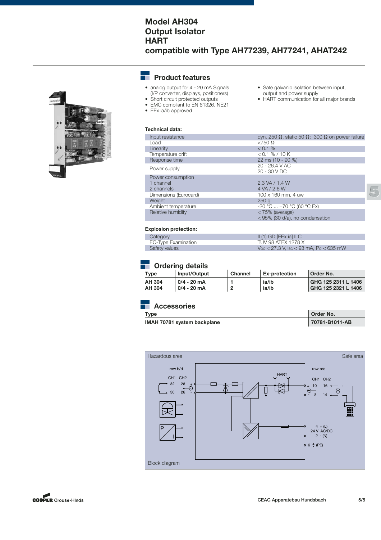## **Model AH304 Output Isolator HART compatible with Type AH77239, AH77241, AHAT242**



#### ÷. **Product features**

- analog output for 4 20 mA Signals (I/P converter, displays, positioners)
- Short circuit protected outputs
- EMC compliant to EN 61326, NE21
- EEx ia/ib approved
- Safe galvanic isolation between input, output and power supply
- HART communication for all major brands

## **Technical data:**

| Input resistance      | dγn. 250 Ω, static 50 Ω; 300 Ω on power failure    |
|-----------------------|----------------------------------------------------|
| Load                  | $< 750 \Omega$                                     |
| Linearity             | $< 0.1 \%$                                         |
| Temperature drift     | < 0.1 % / 10 K                                     |
| Response time         | 22 ms (10 - 90 %)                                  |
| Power supply          | 20 - 26.4 V AC<br>$20 - 30 VDC$                    |
| Power consumption     |                                                    |
| 1 channel             | 2.3 VA / 1.4 W                                     |
| 2 channels            | 4 VA / 2.6 W                                       |
| Dimensions (Eurocard) | $100 \times 160$ mm, 4 uw                          |
| Weight                | 250q                                               |
| Ambient temperature   | $-20$ °C $ + 70$ °C (60 °C Ex)                     |
| Relative humidity     | < 75% (average)<br>< 95% (30 d/a), no condensation |

#### **Explosion protection:**

| Category            | $\parallel$ (1) GD [EEx ia] $\parallel$ C       |
|---------------------|-------------------------------------------------|
| EC-Type Examination | TUV 98 ATEX 1278 X                              |
| Safety values       | $\sqrt{100}$ < 27.3 V, Isc < 93 mA, Po < 635 mW |

# **Cordering details**

| Type   | Input/Output | <b>Channel</b> | <b>Ex-protection</b> | Order No.           |
|--------|--------------|----------------|----------------------|---------------------|
| AH 304 | 0/4 - 20 mA  |                | ia/ib                | GHG 125 2311 L 1406 |
| AH 304 | 0/4 - 20 mA  |                | ia/ib                | GHG 125 2321 L 1406 |

#### H **Accessories**

**Type Order No.** 

| IMAH 70781 system backplane | 70781-B1011-AB |
|-----------------------------|----------------|
|                             |                |



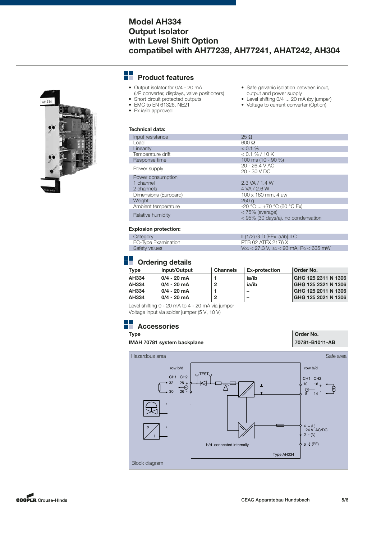## **Model AH334 Output Isolator with Level Shift Option compatibel with AH77239, AH77241, AHAT242, AH304**

#### H. **Product features**

- Output isolator for 0/4 20 mA (I/P converter, displays, valve positioners)
- Short circuit protected outputs • EMC to EN 61326, NE21
- 
- Ex ia/ib approved
- Safe galvanic isolation between input, output and power supply
- Level shifting 0/4 ... 20 mA (by jumper)
- Voltage to current converter (Option)

| $25 \Omega$                                           |
|-------------------------------------------------------|
| $600 \Omega$                                          |
| < 0.1 %                                               |
| $< 0.1 \% / 10 K$                                     |
| 100 ms (10 - 90 %)                                    |
| $20 - 26.4 V AC$<br>$20 - 30 VDC$                     |
|                                                       |
| 2.3 VA / 1.4 W                                        |
| 4 VA / 2.6 W                                          |
| 100 x 160 mm, 4 uw                                    |
| 250q                                                  |
| $-20$ °C $ + 70$ °C (60 °C Ex)                        |
| < 75% (average)<br>< 95% (30 days/a), no condensation |
|                                                       |

#### **Explosion protection:**

| Category            | $\parallel$ (1/2) G D [EEx ia/ib] $\parallel$ C |
|---------------------|-------------------------------------------------|
| EC-Type Examination | PTB 02 ATEX 2176 X                              |
| Safety values       | $\sqrt{100}$ < 27.3 V, Isc < 93 mA, Po < 635 mW |

# **Cordering details**

| Tvpe         | Input/Output  | <b>Channels</b> | <b>Ex-protection</b>     | Order No.           |
|--------------|---------------|-----------------|--------------------------|---------------------|
| AH334        | $0/4 - 20$ mA |                 | ia/ib                    | GHG 125 2311 N 1306 |
| <b>AH334</b> | $0/4 - 20$ mA | 2               | ia/ib                    | GHG 125 2321 N 1306 |
| AH334        | 0/4 - 20 mA   |                 |                          | GHG 125 2011 N 1306 |
| <b>AH334</b> | 0/4 - 20 mA   |                 | $\overline{\phantom{0}}$ | GHG 125 2021 N 1306 |
|              |               |                 |                          |                     |

Level shifting 0 - 20 mA to 4 - 20 mA via jumper Voltage input via solder jumper (5 V, 10 V)





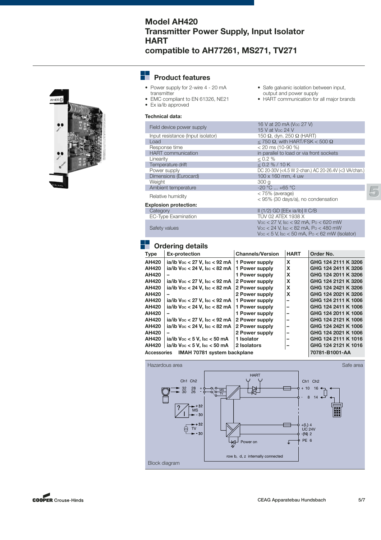## **Model AH420 Transmitter Power Supply, Input Isolator HART compatible to AH77261, MS271, TV271**



#### --**Product features**

- Power supply for 2-wire 4 20 mA transmitter
- EMC compliant to EN 61326, NE21 • Ex ia/ib approved
- 

## **Technical data:**

16 V at 20 mA (Voc 27 V)<br>
15 V at Voc 24 V<br>
15 V at Voc 24 V<br>
150 Ω, dyn. 250 Ω (HART) Input resistance (Input isolator)<br>Load Load  $\leq$  750 Ω, with HART/FSK  $\lt$  500 Ω<br>Response time  $\lt$  20 ms (10-90 %) Response time  $\leq$  20 ms (10-90 %)<br>
HART communication  $\qquad \qquad$  in parallel to load o HART communication in parallel to load or via front sockets<br>Linearity  $\leq 0.2 \%$  $\leq 0.2 \%$ <br> $\leq 0.2 \% / 10 K$ Temperature drift Power supply DC 20-30V (<4.5 W 2-chan.) AC 20-26.4V (<3 VA/chan.)<br>Dimensions (Eurocard) 100 x 160 mm, 4 uw Dimensions (Eurocard) 100 x<br>
Weight 300 g Weight 300 g<br>Ambient temperature 300 g<br>20 °C ... +65 °C Ambient temperature  $-20^{\circ}\text{C} \dots +65^{\circ}\text{C}$ <br>Calating burgidity  $< 75\%$  (average) Relative humidity<br>
< 75% (average)<br>
< 95% (30 days/a), no condensation **Explosion protection:**<br>Category Category<br>
EC-Type Examination<br>
EC-Type Examination<br>
TÜV 02 ATEX 1938 X TÜV 02 ATEX 1938 X VOC < 27 V, ISC < 92 mA, PO < 620 mW Safety values  $V_{\text{OC}} < 24$  V,  $\text{I}_{\text{SC}} < 82$  mA,  $\text{Po} < 480$  mW  $V_{\text{OC}}$  < 5 V, Isc < 50 mA, Po < 62 mW (Isolator)

• Safe galvanic isolation between input, output and power supply

• HART communication for all major brands

## **Cordering details**

| <b>Type</b>  | <b>Ex-protection</b>                 | <b>Channels/Version</b> | <b>HART</b> | Order No.           |  |  |  |
|--------------|--------------------------------------|-------------------------|-------------|---------------------|--|--|--|
| <b>AH420</b> | ia/ib Voc < 27 V, Isc < 92 mA        | 1 Power supply          | X           | GHG 124 2111 K 3206 |  |  |  |
| <b>AH420</b> | ia/ib $\sqrt{v}$ < 24 V, Isc < 82 mA | 1 Power supply          | X           | GHG 124 2411 K 3206 |  |  |  |
| <b>AH420</b> |                                      | 1 Power supply          | X           | GHG 124 2011 K 3206 |  |  |  |
| <b>AH420</b> | ia/ib Voc < 27 V, Isc < 92 mA        | 2 Power supply          | X           | GHG 124 2121 K 3206 |  |  |  |
| <b>AH420</b> | ia/ib $\sqrt{v}$ < 24 V, Isc < 82 mA | 2 Power supply          | X           | GHG 124 2421 K 3206 |  |  |  |
| <b>AH420</b> |                                      | 2 Power supply          | X           | GHG 124 2021 K 3206 |  |  |  |
| <b>AH420</b> | ia/ib $\sqrt{v}$ < 27 V, Isc < 92 mA | 1 Power supply          | -           | GHG 124 2111 K 1006 |  |  |  |
| <b>AH420</b> | ia/ib $\sqrt{v}$ < 24 V, Isc < 82 mA | 1 Power supply          |             | GHG 124 2411 K 1006 |  |  |  |
| <b>AH420</b> |                                      | 1 Power supply          |             | GHG 124 2011 K 1006 |  |  |  |
| <b>AH420</b> | ia/ib Voc < 27 V, Isc < 92 mA        | 2 Power supply          |             | GHG 124 2121 K 1006 |  |  |  |
| <b>AH420</b> | ia/ib $\sqrt{v}$ < 24 V, Isc < 82 mA | 2 Power supply          |             | GHG 124 2421 K 1006 |  |  |  |
| <b>AH420</b> |                                      | 2 Power supply          |             | GHG 124 2021 K 1006 |  |  |  |
| <b>AH420</b> | ia/ib $\sqrt{v}$ < 5 V, lsc < 50 mA  | 1 Isolator              |             | GHG 124 2111 K 1016 |  |  |  |
| <b>AH420</b> | ia/ib $\sqrt{v}$ < 5 V, lsc < 50 mA  | 2 Isolators             |             | GHG 124 2121 K 1016 |  |  |  |
| Accessories  | IMAH 70781 system backplane          | 70781-B1001-AA          |             |                     |  |  |  |